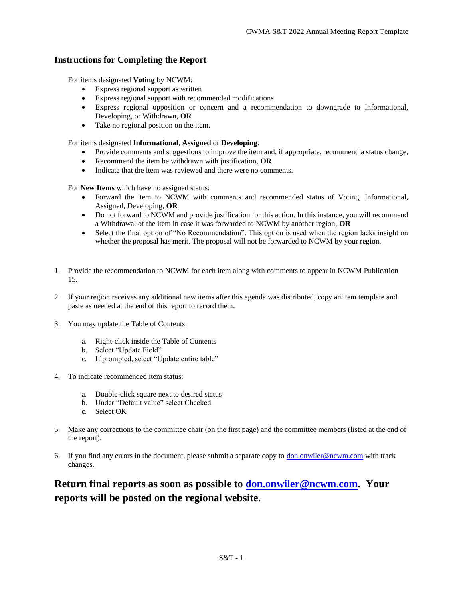## **Instructions for Completing the Report**

For items designated **Voting** by NCWM:

- Express regional support as written
- Express regional support with recommended modifications
- Express regional opposition or concern and a recommendation to downgrade to Informational, Developing, or Withdrawn, **OR**
- Take no regional position on the item.

For items designated **Informational**, **Assigned** or **Developing**:

- Provide comments and suggestions to improve the item and, if appropriate, recommend a status change,
- Recommend the item be withdrawn with justification, **OR**
- Indicate that the item was reviewed and there were no comments.

For **New Items** which have no assigned status:

- Forward the item to NCWM with comments and recommended status of Voting, Informational, Assigned, Developing, **OR**
- Do not forward to NCWM and provide justification for this action. In this instance, you will recommend a Withdrawal of the item in case it was forwarded to NCWM by another region, **OR**
- Select the final option of "No Recommendation". This option is used when the region lacks insight on whether the proposal has merit. The proposal will not be forwarded to NCWM by your region.
- 1. Provide the recommendation to NCWM for each item along with comments to appear in NCWM Publication 15.
- 2. If your region receives any additional new items after this agenda was distributed, copy an item template and paste as needed at the end of this report to record them.
- 3. You may update the Table of Contents:
	- a. Right-click inside the Table of Contents
	- b. Select "Update Field"
	- c. If prompted, select "Update entire table"
- 4. To indicate recommended item status:
	- a. Double-click square next to desired status
	- b. Under "Default value" select Checked
	- c. Select OK
- 5. Make any corrections to the committee chair (on the first page) and the committee members (listed at the end of the report).
- 6. If you find any errors in the document, please submit a separate copy to  $\underline{\text{don}}.\text{onwiler@ncvm}.\text{com with track}$ changes.

# **Return final reports as soon as possible to don.onwiler@ncwm.com. Your reports will be posted on the regional website.**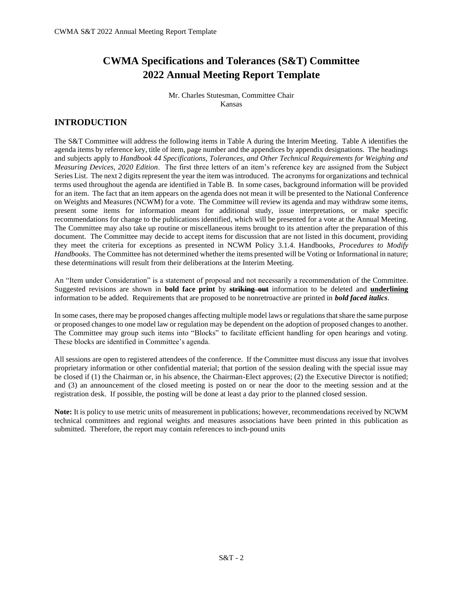# **CWMA Specifications and Tolerances (S&T) Committee 2022 Annual Meeting Report Template**

Mr. Charles Stutesman, Committee Chair Kansas

# **INTRODUCTION**

The S&T Committee will address the following items in Table A during the Interim Meeting. Table A identifies the agenda items by reference key, title of item, page number and the appendices by appendix designations. The headings and subjects apply to *Handbook 44 Specifications, Tolerances, and Other Technical Requirements for Weighing and Measuring Devices, 2020 Edition*. The first three letters of an item's reference key are assigned from the Subject Series List. The next 2 digits represent the year the item was introduced. The acronyms for organizations and technical terms used throughout the agenda are identified in Table B. In some cases, background information will be provided for an item. The fact that an item appears on the agenda does not mean it will be presented to the National Conference on Weights and Measures (NCWM) for a vote. The Committee will review its agenda and may withdraw some items, present some items for information meant for additional study, issue interpretations, or make specific recommendations for change to the publications identified, which will be presented for a vote at the Annual Meeting. The Committee may also take up routine or miscellaneous items brought to its attention after the preparation of this document. The Committee may decide to accept items for discussion that are not listed in this document, providing they meet the criteria for exceptions as presented in NCWM Policy 3.1.4. Handbooks, *Procedures to Modify Handbooks*. The Committee has not determined whether the items presented will be Voting or Informational in nature; these determinations will result from their deliberations at the Interim Meeting.

An "Item under Consideration" is a statement of proposal and not necessarily a recommendation of the Committee. Suggested revisions are shown in **bold face print** by **striking out** information to be deleted and **underlining** information to be added. Requirements that are proposed to be nonretroactive are printed in *bold faced italics*.

In some cases, there may be proposed changes affecting multiple model laws or regulations that share the same purpose or proposed changes to one model law or regulation may be dependent on the adoption of proposed changes to another. The Committee may group such items into "Blocks" to facilitate efficient handling for open hearings and voting. These blocks are identified in Committee's agenda.

All sessions are open to registered attendees of the conference. If the Committee must discuss any issue that involves proprietary information or other confidential material; that portion of the session dealing with the special issue may be closed if (1) the Chairman or, in his absence, the Chairman-Elect approves; (2) the Executive Director is notified; and (3) an announcement of the closed meeting is posted on or near the door to the meeting session and at the registration desk. If possible, the posting will be done at least a day prior to the planned closed session.

**Note:** It is policy to use metric units of measurement in publications; however, recommendations received by NCWM technical committees and regional weights and measures associations have been printed in this publication as submitted. Therefore, the report may contain references to inch-pound units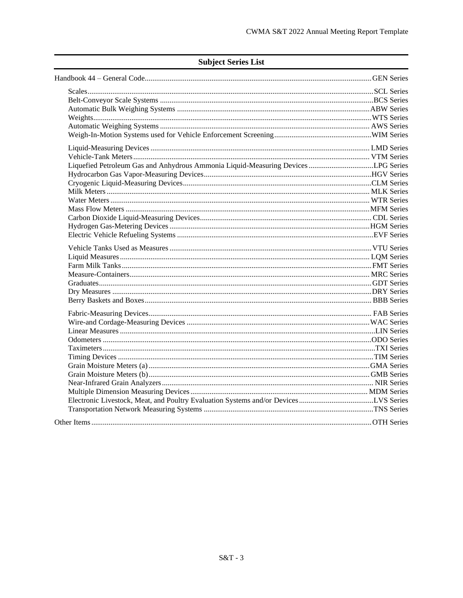| Liquefied Petroleum Gas and Anhydrous Ammonia Liquid-Measuring Devices LPG Series   |  |
|-------------------------------------------------------------------------------------|--|
|                                                                                     |  |
|                                                                                     |  |
|                                                                                     |  |
|                                                                                     |  |
|                                                                                     |  |
|                                                                                     |  |
|                                                                                     |  |
|                                                                                     |  |
|                                                                                     |  |
|                                                                                     |  |
|                                                                                     |  |
|                                                                                     |  |
|                                                                                     |  |
|                                                                                     |  |
|                                                                                     |  |
|                                                                                     |  |
|                                                                                     |  |
|                                                                                     |  |
|                                                                                     |  |
|                                                                                     |  |
|                                                                                     |  |
|                                                                                     |  |
|                                                                                     |  |
|                                                                                     |  |
|                                                                                     |  |
| Electronic Livestock, Meat, and Poultry Evaluation Systems and/or DevicesLVS Series |  |
|                                                                                     |  |
|                                                                                     |  |

# **Subject Series List**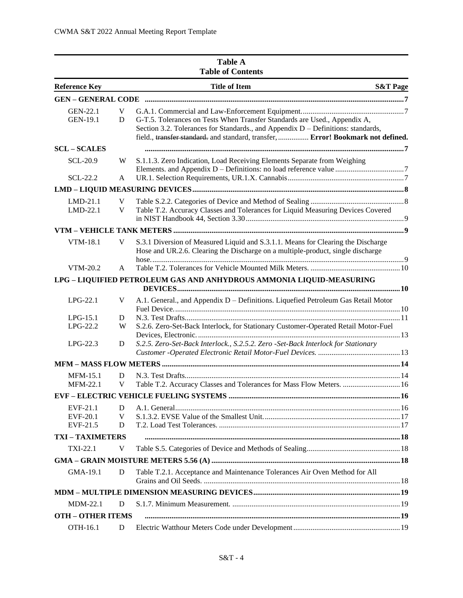|                                         |                        | <b>Table of Contents</b>                                                                                                                                                                                                                          |                     |
|-----------------------------------------|------------------------|---------------------------------------------------------------------------------------------------------------------------------------------------------------------------------------------------------------------------------------------------|---------------------|
| <b>Reference Key</b>                    |                        | <b>Title of Item</b>                                                                                                                                                                                                                              | <b>S&amp;T Page</b> |
|                                         |                        |                                                                                                                                                                                                                                                   |                     |
| <b>GEN-22.1</b><br><b>GEN-19.1</b>      | V<br>D                 | G-T.5. Tolerances on Tests When Transfer Standards are Used., Appendix A,<br>Section 3.2. Tolerances for Standards., and Appendix D - Definitions: standards,<br>field., transfer standard. and standard, transfer,  Error! Bookmark not defined. |                     |
| <b>SCL-SCALES</b>                       |                        |                                                                                                                                                                                                                                                   |                     |
| <b>SCL-20.9</b>                         | W                      | S.1.1.3. Zero Indication, Load Receiving Elements Separate from Weighing                                                                                                                                                                          |                     |
| <b>SCL-22.2</b>                         | A                      |                                                                                                                                                                                                                                                   |                     |
|                                         |                        |                                                                                                                                                                                                                                                   |                     |
| $LMD-21.1$<br>LMD-22.1                  | V<br>V                 | Table T.2. Accuracy Classes and Tolerances for Liquid Measuring Devices Covered                                                                                                                                                                   |                     |
|                                         |                        |                                                                                                                                                                                                                                                   |                     |
| VTM-18.1                                | V                      | S.3.1 Diversion of Measured Liquid and S.3.1.1. Means for Clearing the Discharge<br>Hose and UR.2.6. Clearing the Discharge on a multiple-product, single discharge                                                                               |                     |
| VTM-20.2                                | A                      |                                                                                                                                                                                                                                                   |                     |
|                                         |                        | LPG - LIQUIFIED PETROLEUM GAS AND ANHYDROUS AMMONIA LIQUID-MEASURING                                                                                                                                                                              |                     |
| $LPG-22.1$                              | V                      | A.1. General., and Appendix D - Definitions. Liquefied Petroleum Gas Retail Motor                                                                                                                                                                 |                     |
| $LPG-15.1$<br>LPG-22.2                  | D<br>W                 | S.2.6. Zero-Set-Back Interlock, for Stationary Customer-Operated Retail Motor-Fuel                                                                                                                                                                |                     |
| $LPG-22.3$                              | D                      | S.2.5. Zero-Set-Back Interlock., S.2.5.2. Zero -Set-Back Interlock for Stationary                                                                                                                                                                 |                     |
|                                         |                        |                                                                                                                                                                                                                                                   |                     |
| <b>MFM-15.1</b><br><b>MFM-22.1</b>      | D<br>V                 | Table T.2. Accuracy Classes and Tolerances for Mass Flow Meters.  16                                                                                                                                                                              |                     |
|                                         |                        |                                                                                                                                                                                                                                                   |                     |
| EVF-21.1<br><b>EVF-20.1</b><br>EVF-21.5 | $\mathbf{D}$<br>V<br>D |                                                                                                                                                                                                                                                   |                     |
| <b>TXI-TAXIMETERS</b>                   |                        |                                                                                                                                                                                                                                                   |                     |
| TXI-22.1                                | V                      |                                                                                                                                                                                                                                                   |                     |
|                                         |                        |                                                                                                                                                                                                                                                   |                     |
| GMA-19.1                                | D                      | Table T.2.1. Acceptance and Maintenance Tolerances Air Oven Method for All                                                                                                                                                                        |                     |
|                                         |                        |                                                                                                                                                                                                                                                   |                     |
| <b>MDM-22.1</b>                         | D                      |                                                                                                                                                                                                                                                   |                     |
| <b>OTH - OTHER ITEMS</b>                |                        |                                                                                                                                                                                                                                                   |                     |
| OTH-16.1                                | D                      |                                                                                                                                                                                                                                                   |                     |

# **Table A**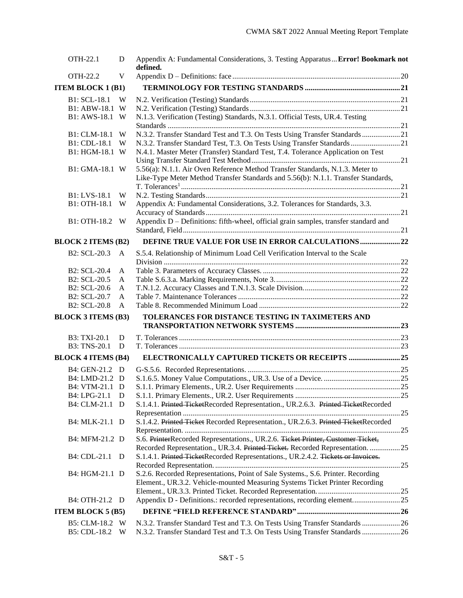| <b>OTH-22.1</b>           | D            | Appendix A: Fundamental Considerations, 3. Testing Apparatus  Error! Bookmark not<br>defined.                                                                      |  |
|---------------------------|--------------|--------------------------------------------------------------------------------------------------------------------------------------------------------------------|--|
| OTH-22.2                  | V            |                                                                                                                                                                    |  |
| <b>ITEM BLOCK 1 (B1)</b>  |              |                                                                                                                                                                    |  |
| B1: SCL-18.1              | W            |                                                                                                                                                                    |  |
| B1: ABW-18.1              | W            |                                                                                                                                                                    |  |
| B1: AWS-18.1              | W            | N.1.3. Verification (Testing) Standards, N.3.1. Official Tests, UR.4. Testing                                                                                      |  |
|                           |              |                                                                                                                                                                    |  |
| B1: CLM-18.1              | W            | N.3.2. Transfer Standard Test and T.3. On Tests Using Transfer Standards  21                                                                                       |  |
| B1: CDL-18.1              | W            | N.3.2. Transfer Standard Test, T.3. On Tests Using Transfer Standards  21                                                                                          |  |
| B1: HGM-18.1 W            |              | N.4.1. Master Meter (Transfer) Standard Test, T.4. Tolerance Application on Test                                                                                   |  |
|                           |              |                                                                                                                                                                    |  |
| B1: GMA-18.1 W            |              | 5.56(a): N.1.1. Air Oven Reference Method Transfer Standards, N.1.3. Meter to<br>Like-Type Meter Method Transfer Standards and 5.56(b): N.1.1. Transfer Standards, |  |
|                           |              |                                                                                                                                                                    |  |
| B1: LVS-18.1              | W            |                                                                                                                                                                    |  |
| B1: OTH-18.1              | W            | Appendix A: Fundamental Considerations, 3.2. Tolerances for Standards, 3.3.                                                                                        |  |
| B1: OTH-18.2              | W            | Appendix D - Definitions: fifth-wheel, official grain samples, transfer standard and                                                                               |  |
| <b>BLOCK 2 ITEMS (B2)</b> |              | DEFINE TRUE VALUE FOR USE IN ERROR CALCULATIONS 22                                                                                                                 |  |
| B2: SCL-20.3              | A            | S.5.4. Relationship of Minimum Load Cell Verification Interval to the Scale                                                                                        |  |
|                           |              |                                                                                                                                                                    |  |
| B2: SCL-20.4              | A            |                                                                                                                                                                    |  |
| B2: SCL-20.5              | A            |                                                                                                                                                                    |  |
| B2: SCL-20.6              | A            |                                                                                                                                                                    |  |
| B2: SCL-20.7              | A            |                                                                                                                                                                    |  |
| <b>B2: SCL-20.8</b>       | $\mathsf{A}$ |                                                                                                                                                                    |  |
| <b>BLOCK 3 ITEMS (B3)</b> |              | TOLERANCES FOR DISTANCE TESTING IN TAXIMETERS AND                                                                                                                  |  |
|                           |              |                                                                                                                                                                    |  |
| B3: TXI-20.1              | D            |                                                                                                                                                                    |  |
| B3: TNS-20.1              | D            |                                                                                                                                                                    |  |
| <b>BLOCK 4 ITEMS (B4)</b> |              | ELECTRONICALLY CAPTURED TICKETS OR RECEIPTS 25                                                                                                                     |  |
| B4: GEN-21.2 D            |              |                                                                                                                                                                    |  |
| B4: LMD-21.2 D            |              |                                                                                                                                                                    |  |
| B4: VTM-21.1 D            |              |                                                                                                                                                                    |  |
| B4: LPG-21.1 D            |              |                                                                                                                                                                    |  |
| B4: CLM-21.1 D            |              | S.1.4.1. Printed TicketRecorded Representation., UR.2.6.3. Printed TicketRecorded                                                                                  |  |
|                           |              |                                                                                                                                                                    |  |
| B4: MLK-21.1 D            |              | S.1.4.2. Printed Ticket Recorded Representation., UR.2.6.3. Printed TicketRecorded                                                                                 |  |
|                           |              |                                                                                                                                                                    |  |
| B4: MFM-21.2 D            |              | S.6. PrinterRecorded Representations., UR.2.6. Ticket Printer, Customer Ticket,                                                                                    |  |
|                           |              | Recorded Representation., UR.3.4. Printed Ticket. Recorded Representation. 25                                                                                      |  |
| B4: CDL-21.1 D            |              | S.1.4.1. Printed TicketRecorded Representations., UR.2.4.2. Tickets or Invoices.                                                                                   |  |
|                           |              |                                                                                                                                                                    |  |
| B4: HGM-21.1 D            |              | S.2.6. Recorded Representations, Point of Sale Systems., S.6. Printer. Recording<br>Element., UR.3.2. Vehicle-mounted Measuring Systems Ticket Printer Recording   |  |
|                           |              |                                                                                                                                                                    |  |
| B4: OTH-21.2 D            |              | Appendix D - Definitions.: recorded representations, recording element25                                                                                           |  |
| <b>ITEM BLOCK 5 (B5)</b>  |              |                                                                                                                                                                    |  |
| B5: CLM-18.2              | W            | N.3.2. Transfer Standard Test and T.3. On Tests Using Transfer Standards  26                                                                                       |  |
| B5: CDL-18.2              | W            | N.3.2. Transfer Standard Test and T.3. On Tests Using Transfer Standards  26                                                                                       |  |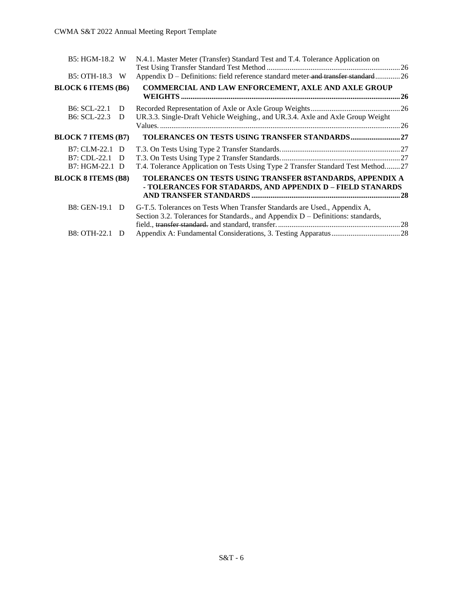| B5: HGM-18.2 W                                     |        | N.4.1. Master Meter (Transfer) Standard Test and T.4. Tolerance Application on                                                                                  | .26  |
|----------------------------------------------------|--------|-----------------------------------------------------------------------------------------------------------------------------------------------------------------|------|
| B5: OTH-18.3 W                                     |        | Appendix D - Definitions: field reference standard meter-and transfer standard26                                                                                |      |
| <b>BLOCK 6 ITEMS (B6)</b>                          |        | <b>COMMERCIAL AND LAW ENFORCEMENT, AXLE AND AXLE GROUP</b>                                                                                                      | . 26 |
| <b>B6: SCL-22.1</b><br><b>B6: SCL-22.3</b>         | D<br>D | UR.3.3. Single-Draft Vehicle Weighing., and UR.3.4. Axle and Axle Group Weight                                                                                  |      |
|                                                    |        |                                                                                                                                                                 | . 26 |
| <b>BLOCK 7 ITEMS (B7)</b>                          |        |                                                                                                                                                                 |      |
| B7: CLM-22.1 D<br>B7: CDL-22.1 D<br>B7: HGM-22.1 D |        | T.4. Tolerance Application on Tests Using Type 2 Transfer Standard Test Method27                                                                                |      |
| <b>BLOCK 8 ITEMS (B8)</b>                          |        | TOLERANCES ON TESTS USING TRANSFER 8STANDARDS, APPENDIX A<br>- TOLERANCES FOR STADARDS, AND APPENDIX D - FIELD STANARDS                                         |      |
| B8: GEN-19.1 D                                     |        | G-T.5. Tolerances on Tests When Transfer Standards are Used., Appendix A,<br>Section 3.2. Tolerances for Standards., and Appendix $D -$ Definitions: standards, |      |
| <b>B8: OTH-22.1</b>                                | D      |                                                                                                                                                                 |      |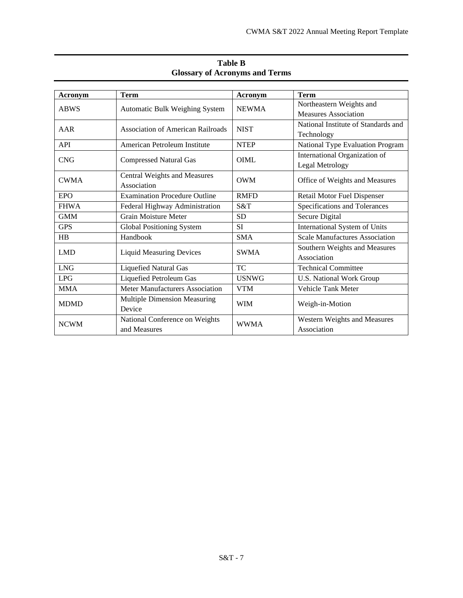| Acronym     | <b>Term</b>                              | Acronym                       | <b>Term</b>                           |
|-------------|------------------------------------------|-------------------------------|---------------------------------------|
| <b>ABWS</b> |                                          | <b>NEWMA</b>                  | Northeastern Weights and              |
|             | <b>Automatic Bulk Weighing System</b>    |                               | <b>Measures Association</b>           |
|             |                                          | <b>NIST</b>                   | National Institute of Standards and   |
| AAR         | <b>Association of American Railroads</b> |                               | Technology                            |
| API         | American Petroleum Institute             | <b>NTEP</b>                   | National Type Evaluation Program      |
| <b>CNG</b>  |                                          | <b>OIML</b>                   | International Organization of         |
|             | <b>Compressed Natural Gas</b>            |                               | Legal Metrology                       |
|             | Central Weights and Measures             | <b>OWM</b>                    |                                       |
| <b>CWMA</b> | Association                              |                               | Office of Weights and Measures        |
| EPO         | <b>Examination Procedure Outline</b>     | <b>RMFD</b>                   | Retail Motor Fuel Dispenser           |
| <b>FHWA</b> | Federal Highway Administration           | S&T                           | Specifications and Tolerances         |
| <b>GMM</b>  | Grain Moisture Meter                     | <b>SD</b>                     | Secure Digital                        |
| <b>GPS</b>  | Global Positioning System                | <b>SI</b>                     | International System of Units         |
| HB          | Handbook                                 | <b>SMA</b>                    | <b>Scale Manufactures Association</b> |
| <b>LMD</b>  |                                          | <b>SWMA</b>                   | Southern Weights and Measures         |
|             | <b>Liquid Measuring Devices</b>          |                               | Association                           |
| <b>LNG</b>  | <b>Liquefied Natural Gas</b>             | <b>TC</b>                     | <b>Technical Committee</b>            |
| <b>LPG</b>  | Liquefied Petroleum Gas                  | <b>USNWG</b>                  | <b>U.S. National Work Group</b>       |
| <b>MMA</b>  | Meter Manufacturers Association          | <b>VTM</b>                    | <b>Vehicle Tank Meter</b>             |
| <b>MDMD</b> | Multiple Dimension Measuring             |                               |                                       |
|             | Device                                   | <b>WIM</b><br>Weigh-in-Motion |                                       |
|             | National Conference on Weights           | <b>WWMA</b>                   | Western Weights and Measures          |
| <b>NCWM</b> | and Measures                             |                               | Association                           |

# **Table B Glossary of Acronyms and Terms**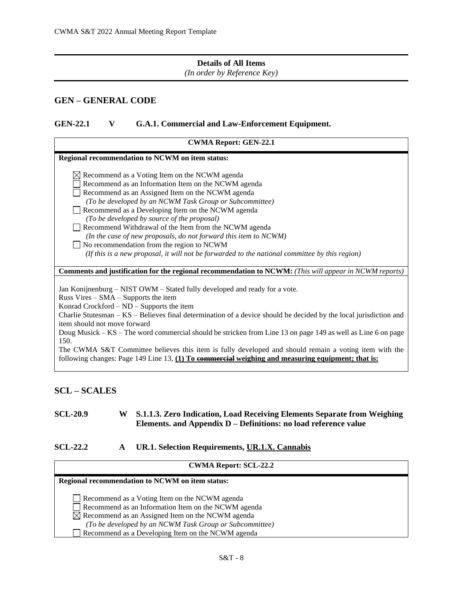# **Details of All Items**

*(In order by Reference Key)*

# <span id="page-7-0"></span>**GEN – GENERAL CODE**

## <span id="page-7-1"></span>**GEN-22.1 V G.A.1. Commercial and Law-Enforcement Equipment.**

| <b>CWMA Report: GEN-22.1</b>                                                                                                                                                                                                                                                                                                                                                                                                                                                                                                                                                                                                                                         |
|----------------------------------------------------------------------------------------------------------------------------------------------------------------------------------------------------------------------------------------------------------------------------------------------------------------------------------------------------------------------------------------------------------------------------------------------------------------------------------------------------------------------------------------------------------------------------------------------------------------------------------------------------------------------|
| Regional recommendation to NCWM on item status:                                                                                                                                                                                                                                                                                                                                                                                                                                                                                                                                                                                                                      |
| $\boxtimes$ Recommend as a Voting Item on the NCWM agenda<br>Recommend as an Information Item on the NCWM agenda<br>Recommend as an Assigned Item on the NCWM agenda<br>(To be developed by an NCWM Task Group or Subcommittee)<br>Recommend as a Developing Item on the NCWM agenda<br>(To be developed by source of the proposal)<br>Recommend Withdrawal of the Item from the NCWM agenda<br>(In the case of new proposals, do not forward this item to NCWM)<br>No recommendation from the region to NCWM<br>(If this is a new proposal, it will not be forwarded to the national committee by this region)                                                      |
| <b>Comments and justification for the regional recommendation to NCWM:</b> (This will appear in NCWM reports)                                                                                                                                                                                                                                                                                                                                                                                                                                                                                                                                                        |
| Jan Konijnenburg – NIST OWM – Stated fully developed and ready for a vote.<br>Russ Vires $-$ SMA $-$ Supports the item<br>Konrad Crockford $-$ ND $-$ Supports the item<br>Charlie Stutesman - KS - Believes final determination of a device should be decided by the local jurisdiction and<br>item should not move forward<br>Doug Musick – KS – The word commercial should be stricken from Line 13 on page 149 as well as Line 6 on page<br>150.<br>The CWMA S&T Committee believes this item is fully developed and should remain a voting item with the<br>following changes: Page 149 Line 13, $(1)$ To commercial weighing and measuring equipment; that is: |

## <span id="page-7-2"></span>**SCL – SCALES**

## <span id="page-7-3"></span>**SCL-20.9 W S.1.1.3. Zero Indication, Load Receiving Elements Separate from Weighing Elements. and Appendix D – Definitions: no load reference value**

## <span id="page-7-4"></span>**SCL-22.2 A UR.1. Selection Requirements, UR.1.X. Cannabis**

| <b>CWMA Report: SCL-22.2</b>                                                                                                                                                                                                                                                         |  |  |
|--------------------------------------------------------------------------------------------------------------------------------------------------------------------------------------------------------------------------------------------------------------------------------------|--|--|
| <b>Regional recommendation to NCWM on item status:</b>                                                                                                                                                                                                                               |  |  |
| Recommend as a Voting Item on the NCWM agenda<br>Recommend as an Information Item on the NCWM agenda<br>$\boxtimes$ Recommend as an Assigned Item on the NCWM agenda<br>(To be developed by an NCWM Task Group or Subcommittee)<br>Recommend as a Developing Item on the NCWM agenda |  |  |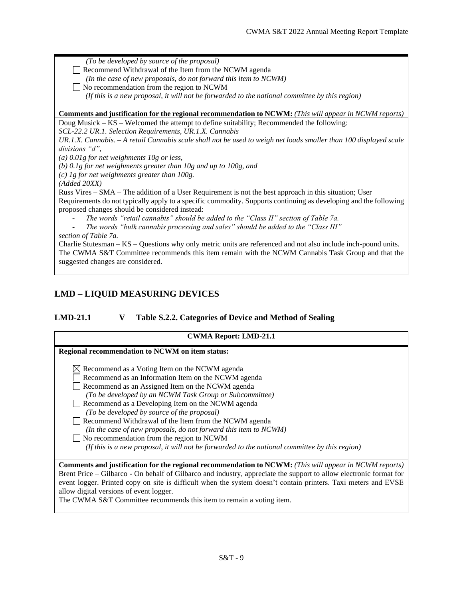*(To be developed by source of the proposal)*  Recommend Withdrawal of the Item from the NCWM agenda *(In the case of new proposals, do not forward this item to NCWM)* No recommendation from the region to NCWM  $\Box$  *(If this is a new proposal, it will not be forwarded to the national committee by this region)* **Comments and justification for the regional recommendation to NCWM:** *(This will appear in NCWM reports)* Doug Musick – KS – Welcomed the attempt to define suitability; Recommended the following: *SCL-22.2 UR.1. Selection Requirements, UR.1.X. Cannabis UR.1.X. Cannabis. – A retail Cannabis scale shall not be used to weigh net loads smaller than 100 displayed scale divisions "d"*, *(a) 0.01g for net weighments 10g or less, (b) 0.1g for net weighments greater than 10g and up to 100g, and (c) 1g for net weighments greater than 100g. (Added 20XX)* Russ Vires – SMA – The addition of a User Requirement is not the best approach in this situation; User Requirements do not typically apply to a specific commodity. Supports continuing as developing and the following proposed changes should be considered instead: The words "retail cannabis" should be added to the "Class II" section of Table 7a. The words "bulk cannabis processing and sales" should be added to the "Class III" *section of Table 7a.* Charlie Stutesman – KS – Questions why only metric units are referenced and not also include inch-pound units. The CWMA S&T Committee recommends this item remain with the NCWM Cannabis Task Group and that the suggested changes are considered.

# <span id="page-8-0"></span>**LMD – LIQUID MEASURING DEVICES**

## <span id="page-8-1"></span>**LMD-21.1 V Table S.2.2. Categories of Device and Method of Sealing**

| <b>CWMA Report: LMD-21.1</b>                                                                                                                                                                                                                                                                                                                                                                                                                                                                                                                                                                                    |
|-----------------------------------------------------------------------------------------------------------------------------------------------------------------------------------------------------------------------------------------------------------------------------------------------------------------------------------------------------------------------------------------------------------------------------------------------------------------------------------------------------------------------------------------------------------------------------------------------------------------|
| Regional recommendation to NCWM on item status:                                                                                                                                                                                                                                                                                                                                                                                                                                                                                                                                                                 |
| $\boxtimes$ Recommend as a Voting Item on the NCWM agenda<br>Recommend as an Information Item on the NCWM agenda<br>Recommend as an Assigned Item on the NCWM agenda<br>(To be developed by an NCWM Task Group or Subcommittee)<br>Recommend as a Developing Item on the NCWM agenda<br>(To be developed by source of the proposal)<br>Recommend Withdrawal of the Item from the NCWM agenda<br>(In the case of new proposals, do not forward this item to NCWM)<br>No recommendation from the region to NCWM<br>(If this is a new proposal, it will not be forwarded to the national committee by this region) |
| <b>Comments and justification for the regional recommendation to NCWM:</b> (This will appear in NCWM reports)                                                                                                                                                                                                                                                                                                                                                                                                                                                                                                   |
| Brent Price - Gilbarco - On behalf of Gilbarco and industry, appreciate the support to allow electronic format for<br>event logger. Printed copy on site is difficult when the system doesn't contain printers. Taxi meters and EVSE<br>allow digital versions of event logger.<br>The CWMA S&T Committee recommends this item to remain a voting item.                                                                                                                                                                                                                                                         |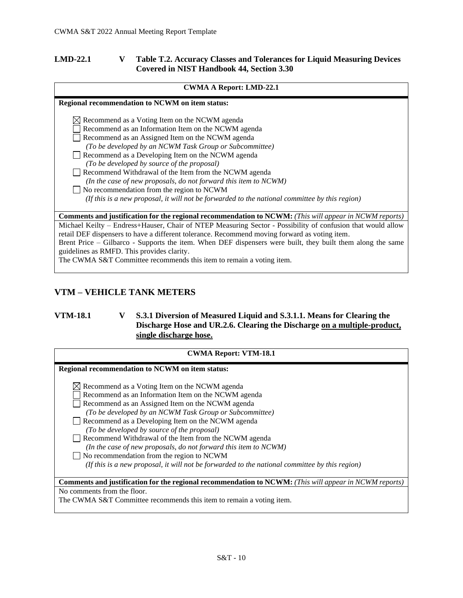## <span id="page-9-0"></span>**LMD-22.1 V Table T.2. Accuracy Classes and Tolerances for Liquid Measuring Devices Covered in NIST Handbook 44, Section 3.30**

| <b>CWMA A Report: LMD-22.1</b>                                                                                |
|---------------------------------------------------------------------------------------------------------------|
| Regional recommendation to NCWM on item status:                                                               |
| $\boxtimes$ Recommend as a Voting Item on the NCWM agenda                                                     |
| Recommend as an Information Item on the NCWM agenda                                                           |
| Recommend as an Assigned Item on the NCWM agenda                                                              |
| (To be developed by an NCWM Task Group or Subcommittee)                                                       |
| Recommend as a Developing Item on the NCWM agenda                                                             |
| (To be developed by source of the proposal)                                                                   |
| Recommend Withdrawal of the Item from the NCWM agenda                                                         |
| (In the case of new proposals, do not forward this item to NCWM)                                              |
| $\Box$ No recommendation from the region to NCWM                                                              |
| (If this is a new proposal, it will not be forwarded to the national committee by this region)                |
|                                                                                                               |
| <b>Comments and justification for the regional recommendation to NCWM:</b> (This will appear in NCWM reports) |
| Michael Keilty - Endress+Hauser, Chair of NTEP Measuring Sector - Possibility of confusion that would allow   |
| retail DEF dispensers to have a different tolerance. Recommend moving forward as voting item.                 |
| Brent Price – Gilbarco - Supports the item. When DEF dispensers were built, they built them along the same    |

guidelines as RMFD. This provides clarity.

The CWMA S&T Committee recommends this item to remain a voting item.

# <span id="page-9-1"></span>**VTM – VEHICLE TANK METERS**

# <span id="page-9-2"></span>**VTM-18.1 V S.3.1 Diversion of Measured Liquid and S.3.1.1. Means for Clearing the Discharge Hose and UR.2.6. Clearing the Discharge on a multiple-product, single discharge hose.**

| <b>CWMA Report: VTM-18.1</b>                                                                                  |
|---------------------------------------------------------------------------------------------------------------|
| Regional recommendation to NCWM on item status:                                                               |
| $\boxtimes$ Recommend as a Voting Item on the NCWM agenda                                                     |
| Recommend as an Information Item on the NCWM agenda                                                           |
| Recommend as an Assigned Item on the NCWM agenda                                                              |
| (To be developed by an NCWM Task Group or Subcommittee)                                                       |
| Recommend as a Developing Item on the NCWM agenda                                                             |
| (To be developed by source of the proposal)                                                                   |
| Recommend Withdrawal of the Item from the NCWM agenda                                                         |
| (In the case of new proposals, do not forward this item to NCWM)                                              |
| No recommendation from the region to NCWM                                                                     |
| (If this is a new proposal, it will not be forwarded to the national committee by this region)                |
|                                                                                                               |
| <b>Comments and justification for the regional recommendation to NCWM:</b> (This will appear in NCWM reports) |
| No comments from the floor.                                                                                   |
| The CWMA S&T Committee recommends this item to remain a voting item.                                          |
|                                                                                                               |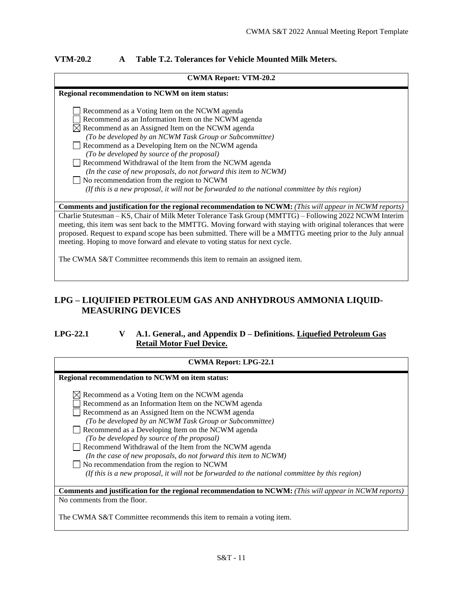## <span id="page-10-0"></span>**VTM-20.2 A Table T.2. Tolerances for Vehicle Mounted Milk Meters.**

#### **CWMA Report: VTM-20.2**

| Regional recommendation to NCWM on item status:                                                               |
|---------------------------------------------------------------------------------------------------------------|
|                                                                                                               |
| Recommend as a Voting Item on the NCWM agenda                                                                 |
| Recommend as an Information Item on the NCWM agenda                                                           |
| $\boxtimes$ Recommend as an Assigned Item on the NCWM agenda                                                  |
| (To be developed by an NCWM Task Group or Subcommittee)                                                       |
| Recommend as a Developing Item on the NCWM agenda                                                             |
| (To be developed by source of the proposal)                                                                   |
| Recommend Withdrawal of the Item from the NCWM agenda                                                         |
| (In the case of new proposals, do not forward this item to NCWM)                                              |
| $\Box$ No recommendation from the region to NCWM                                                              |
| (If this is a new proposal, it will not be forwarded to the national committee by this region)                |
|                                                                                                               |
| <b>Comments and justification for the regional recommendation to NCWM:</b> (This will appear in NCWM reports) |
| Charlie Stutesman – KS, Chair of Milk Meter Tolerance Task Group (MMTTG) – Following 2022 NCWM Interim        |
| meeting, this item was sent back to the MMTTG. Moving forward with staying with original tolerances that were |
| proposed. Request to expand scope has been submitted. There will be a MMTTG meeting prior to the July annual  |

The CWMA S&T Committee recommends this item to remain an assigned item.

meeting. Hoping to move forward and elevate to voting status for next cycle.

# <span id="page-10-1"></span>**LPG – LIQUIFIED PETROLEUM GAS AND ANHYDROUS AMMONIA LIQUID-MEASURING DEVICES**

## <span id="page-10-2"></span>**LPG-22.1 V A.1. General., and Appendix D – Definitions. Liquefied Petroleum Gas Retail Motor Fuel Device.**

| <b>CWMA Report: LPG-22.1</b>                                                                                  |
|---------------------------------------------------------------------------------------------------------------|
| Regional recommendation to NCWM on item status:                                                               |
| $\boxtimes$ Recommend as a Voting Item on the NCWM agenda                                                     |
| Recommend as an Information Item on the NCWM agenda                                                           |
| Recommend as an Assigned Item on the NCWM agenda                                                              |
| (To be developed by an NCWM Task Group or Subcommittee)                                                       |
| Recommend as a Developing Item on the NCWM agenda                                                             |
| (To be developed by source of the proposal)                                                                   |
| Recommend Withdrawal of the Item from the NCWM agenda                                                         |
| (In the case of new proposals, do not forward this item to NCWM)                                              |
| No recommendation from the region to NCWM                                                                     |
| (If this is a new proposal, it will not be forwarded to the national committee by this region)                |
| <b>Comments and justification for the regional recommendation to NCWM:</b> (This will appear in NCWM reports) |
| No comments from the floor.                                                                                   |
| The CWMA S&T Committee recommends this item to remain a voting item.                                          |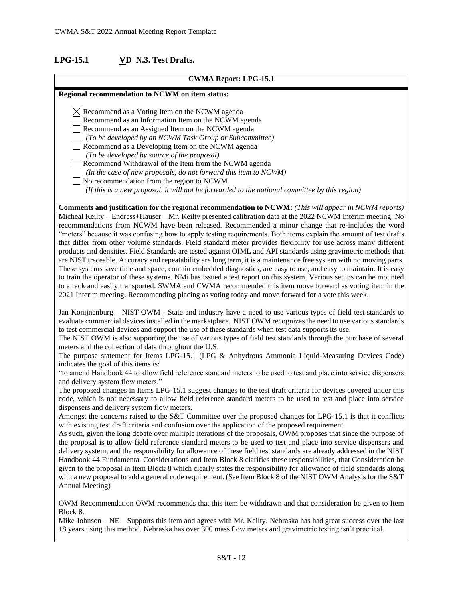## <span id="page-11-0"></span>**LPG-15.1 VD N.3. Test Drafts.**

# **CWMA Report: LPG-15.1 Regional recommendation to NCWM on item status:**  $\boxtimes$  Recommend as a Voting Item on the NCWM agenda Recommend as an Information Item on the NCWM agenda Recommend as an Assigned Item on the NCWM agenda *(To be developed by an NCWM Task Group or Subcommittee)* Recommend as a Developing Item on the NCWM agenda *(To be developed by source of the proposal)*  Recommend Withdrawal of the Item from the NCWM agenda *(In the case of new proposals, do not forward this item to NCWM)* No recommendation from the region to NCWM  *(If this is a new proposal, it will not be forwarded to the national committee by this region)* **Comments and justification for the regional recommendation to NCWM:** *(This will appear in NCWM reports)* Micheal Keilty – Endress+Hauser – Mr. Keilty presented calibration data at the 2022 NCWM Interim meeting. No recommendations from NCWM have been released. Recommended a minor change that re-includes the word "meters" because it was confusing how to apply testing requirements. Both items explain the amount of test drafts that differ from other volume standards. Field standard meter provides flexibility for use across many different

products and densities. Field Standards are tested against OIML and API standards using gravimetric methods that are NIST traceable. Accuracy and repeatability are long term, it is a maintenance free system with no moving parts. These systems save time and space, contain embedded diagnostics, are easy to use, and easy to maintain. It is easy to train the operator of these systems. NMi has issued a test report on this system. Various setups can be mounted to a rack and easily transported. SWMA and CWMA recommended this item move forward as voting item in the 2021 Interim meeting. Recommending placing as voting today and move forward for a vote this week.

Jan Konijnenburg – NIST OWM - State and industry have a need to use various types of field test standards to evaluate commercial devices installed in the marketplace. NIST OWM recognizes the need to use various standards to test commercial devices and support the use of these standards when test data supports its use.

The NIST OWM is also supporting the use of various types of field test standards through the purchase of several meters and the collection of data throughout the U.S.

The purpose statement for Items LPG-15.1 (LPG & Anhydrous Ammonia Liquid-Measuring Devices Code) indicates the goal of this items is:

"to amend Handbook 44 to allow field reference standard meters to be used to test and place into service dispensers and delivery system flow meters."

The proposed changes in Items LPG-15.1 suggest changes to the test draft criteria for devices covered under this code, which is not necessary to allow field reference standard meters to be used to test and place into service dispensers and delivery system flow meters.

Amongst the concerns raised to the S&T Committee over the proposed changes for LPG-15.1 is that it conflicts with existing test draft criteria and confusion over the application of the proposed requirement.

As such, given the long debate over multiple iterations of the proposals, OWM proposes that since the purpose of the proposal is to allow field reference standard meters to be used to test and place into service dispensers and delivery system, and the responsibility for allowance of these field test standards are already addressed in the NIST Handbook 44 Fundamental Considerations and Item Block 8 clarifies these responsibilities, that Consideration be given to the proposal in Item Block 8 which clearly states the responsibility for allowance of field standards along with a new proposal to add a general code requirement. (See Item Block 8 of the NIST OWM Analysis for the S&T Annual Meeting)

OWM Recommendation OWM recommends that this item be withdrawn and that consideration be given to Item Block 8.

Mike Johnson – NE – Supports this item and agrees with Mr. Keilty. Nebraska has had great success over the last 18 years using this method. Nebraska has over 300 mass flow meters and gravimetric testing isn't practical.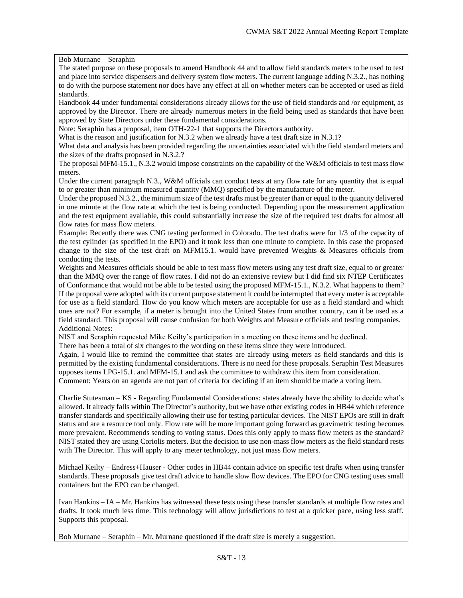Bob Murnane – Seraphin –

The stated purpose on these proposals to amend Handbook 44 and to allow field standards meters to be used to test and place into service dispensers and delivery system flow meters. The current language adding N.3.2., has nothing to do with the purpose statement nor does have any effect at all on whether meters can be accepted or used as field standards.

Handbook 44 under fundamental considerations already allows for the use of field standards and /or equipment, as approved by the Director. There are already numerous meters in the field being used as standards that have been approved by State Directors under these fundamental considerations.

Note: Seraphin has a proposal, item OTH-22-1 that supports the Directors authority.

What is the reason and justification for N.3.2 when we already have a test draft size in N.3.1?

What data and analysis has been provided regarding the uncertainties associated with the field standard meters and the sizes of the drafts proposed in N.3.2.?

The proposal MFM-15.1., N.3.2 would impose constraints on the capability of the W&M officials to test mass flow meters.

Under the current paragraph N.3., W&M officials can conduct tests at any flow rate for any quantity that is equal to or greater than minimum measured quantity (MMQ) specified by the manufacture of the meter.

Under the proposed N.3.2., the minimum size of the test drafts must be greater than or equal to the quantity delivered in one minute at the flow rate at which the test is being conducted. Depending upon the measurement application and the test equipment available, this could substantially increase the size of the required test drafts for almost all flow rates for mass flow meters.

Example: Recently there was CNG testing performed in Colorado. The test drafts were for 1/3 of the capacity of the test cylinder (as specified in the EPO) and it took less than one minute to complete. In this case the proposed change to the size of the test draft on MFM15.1. would have prevented Weights & Measures officials from conducting the tests.

Weights and Measures officials should be able to test mass flow meters using any test draft size, equal to or greater than the MMQ over the range of flow rates. I did not do an extensive review but I did find six NTEP Certificates of Conformance that would not be able to be tested using the proposed MFM-15.1., N.3.2. What happens to them? If the proposal were adopted with its current purpose statement it could be interrupted that every meter is acceptable for use as a field standard. How do you know which meters are acceptable for use as a field standard and which ones are not? For example, if a meter is brought into the United States from another country, can it be used as a field standard. This proposal will cause confusion for both Weights and Measure officials and testing companies. Additional Notes:

NIST and Seraphin requested Mike Keilty's participation in a meeting on these items and he declined.

There has been a total of six changes to the wording on these items since they were introduced.

Again, I would like to remind the committee that states are already using meters as field standards and this is permitted by the existing fundamental considerations. There is no need for these proposals. Seraphin Test Measures opposes items LPG-15.1. and MFM-15.1 and ask the committee to withdraw this item from consideration. Comment: Years on an agenda are not part of criteria for deciding if an item should be made a voting item.

Charlie Stutesman – KS - Regarding Fundamental Considerations: states already have the ability to decide what's allowed. It already falls within The Director's authority, but we have other existing codes in HB44 which reference transfer standards and specifically allowing their use for testing particular devices. The NIST EPOs are still in draft status and are a resource tool only. Flow rate will be more important going forward as gravimetric testing becomes more prevalent. Recommends sending to voting status. Does this only apply to mass flow meters as the standard? NIST stated they are using Coriolis meters. But the decision to use non-mass flow meters as the field standard rests with The Director. This will apply to any meter technology, not just mass flow meters.

Michael Keilty – Endress+Hauser - Other codes in HB44 contain advice on specific test drafts when using transfer standards. These proposals give test draft advice to handle slow flow devices. The EPO for CNG testing uses small containers but the EPO can be changed.

Ivan Hankins – IA – Mr. Hankins has witnessed these tests using these transfer standards at multiple flow rates and drafts. It took much less time. This technology will allow jurisdictions to test at a quicker pace, using less staff. Supports this proposal.

Bob Murnane – Seraphin – Mr. Murnane questioned if the draft size is merely a suggestion.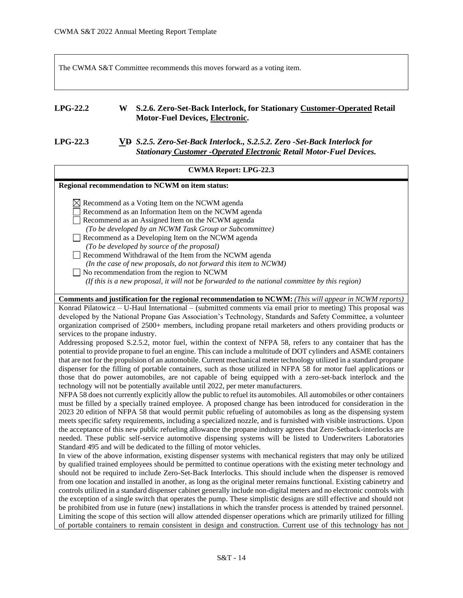The CWMA S&T Committee recommends this moves forward as a voting item.

## <span id="page-13-0"></span>**LPG-22.2 W S.2.6. Zero-Set-Back Interlock, for Stationary Customer-Operated Retail Motor-Fuel Devices, Electronic.**

# <span id="page-13-1"></span>**LPG-22.3 VD** *S.2.5. Zero-Set-Back Interlock., S.2.5.2. Zero -Set-Back Interlock for Stationary Customer -Operated Electronic Retail Motor-Fuel Devices.*

| <b>CWMA Report: LPG-22.3</b>                                                                                                                                                                                                                                                                                                                                                                                                                                                                                                                                                                                                                                                                                                                                                                                                                                                                                                                                                                                                                                                                                                                                                                                                                                                                                                                                                                                                                                                                                                                                                                                                                                                                                                                                                                                                                                                                                                                                                                                                                                                                                                                                                                                                                                                                                                                            |
|---------------------------------------------------------------------------------------------------------------------------------------------------------------------------------------------------------------------------------------------------------------------------------------------------------------------------------------------------------------------------------------------------------------------------------------------------------------------------------------------------------------------------------------------------------------------------------------------------------------------------------------------------------------------------------------------------------------------------------------------------------------------------------------------------------------------------------------------------------------------------------------------------------------------------------------------------------------------------------------------------------------------------------------------------------------------------------------------------------------------------------------------------------------------------------------------------------------------------------------------------------------------------------------------------------------------------------------------------------------------------------------------------------------------------------------------------------------------------------------------------------------------------------------------------------------------------------------------------------------------------------------------------------------------------------------------------------------------------------------------------------------------------------------------------------------------------------------------------------------------------------------------------------------------------------------------------------------------------------------------------------------------------------------------------------------------------------------------------------------------------------------------------------------------------------------------------------------------------------------------------------------------------------------------------------------------------------------------------------|
| Regional recommendation to NCWM on item status:                                                                                                                                                                                                                                                                                                                                                                                                                                                                                                                                                                                                                                                                                                                                                                                                                                                                                                                                                                                                                                                                                                                                                                                                                                                                                                                                                                                                                                                                                                                                                                                                                                                                                                                                                                                                                                                                                                                                                                                                                                                                                                                                                                                                                                                                                                         |
| $\boxtimes$ Recommend as a Voting Item on the NCWM agenda<br>Recommend as an Information Item on the NCWM agenda<br>Recommend as an Assigned Item on the NCWM agenda<br>(To be developed by an NCWM Task Group or Subcommittee)<br>Recommend as a Developing Item on the NCWM agenda<br>(To be developed by source of the proposal)<br>Recommend Withdrawal of the Item from the NCWM agenda<br>(In the case of new proposals, do not forward this item to NCWM)<br>No recommendation from the region to NCWM<br>(If this is a new proposal, it will not be forwarded to the national committee by this region)                                                                                                                                                                                                                                                                                                                                                                                                                                                                                                                                                                                                                                                                                                                                                                                                                                                                                                                                                                                                                                                                                                                                                                                                                                                                                                                                                                                                                                                                                                                                                                                                                                                                                                                                         |
| Comments and justification for the regional recommendation to NCWM: (This will appear in NCWM reports)                                                                                                                                                                                                                                                                                                                                                                                                                                                                                                                                                                                                                                                                                                                                                                                                                                                                                                                                                                                                                                                                                                                                                                                                                                                                                                                                                                                                                                                                                                                                                                                                                                                                                                                                                                                                                                                                                                                                                                                                                                                                                                                                                                                                                                                  |
| Konrad Pilatowicz – U-Haul International – (submitted comments via email prior to meeting) This proposal was<br>developed by the National Propane Gas Association's Technology, Standards and Safety Committee, a volunteer<br>organization comprised of 2500+ members, including propane retail marketers and others providing products or<br>services to the propane industry.<br>Addressing proposed S.2.5.2, motor fuel, within the context of NFPA 58, refers to any container that has the<br>potential to provide propane to fuel an engine. This can include a multitude of DOT cylinders and ASME containers<br>that are not for the propulsion of an automobile. Current mechanical meter technology utilized in a standard propane<br>dispenser for the filling of portable containers, such as those utilized in NFPA 58 for motor fuel applications or<br>those that do power automobiles, are not capable of being equipped with a zero-set-back interlock and the<br>technology will not be potentially available until 2022, per meter manufacturers.<br>NFPA 58 does not currently explicitly allow the public to refuel its automobiles. All automobiles or other containers<br>must be filled by a specially trained employee. A proposed change has been introduced for consideration in the<br>2023 20 edition of NFPA 58 that would permit public refueling of automobiles as long as the dispensing system<br>meets specific safety requirements, including a specialized nozzle, and is furnished with visible instructions. Upon<br>the acceptance of this new public refueling allowance the propane industry agrees that Zero-Setback-interlocks are<br>needed. These public self-service automotive dispensing systems will be listed to Underwriters Laboratories<br>Standard 495 and will be dedicated to the filling of motor vehicles.<br>In view of the above information, existing dispenser systems with mechanical registers that may only be utilized<br>by qualified trained employees should be permitted to continue operations with the existing meter technology and<br>should not be required to include Zero-Set-Back Interlocks. This should include when the dispenser is removed<br>from one location and installed in another, as long as the original meter remains functional. Existing cabinetry and |
| controls utilized in a standard dispenser cabinet generally include non-digital meters and no electronic controls with<br>the exception of a single switch that operates the pump. These simplistic designs are still effective and should not<br>be prohibited from use in future (new) installations in which the transfer process is attended by trained personnel.<br>Limiting the scope of this section will allow attended dispenser operations which are primarily utilized for filling<br>of portable containers to remain consistent in design and construction. Current use of this technology has not                                                                                                                                                                                                                                                                                                                                                                                                                                                                                                                                                                                                                                                                                                                                                                                                                                                                                                                                                                                                                                                                                                                                                                                                                                                                                                                                                                                                                                                                                                                                                                                                                                                                                                                                        |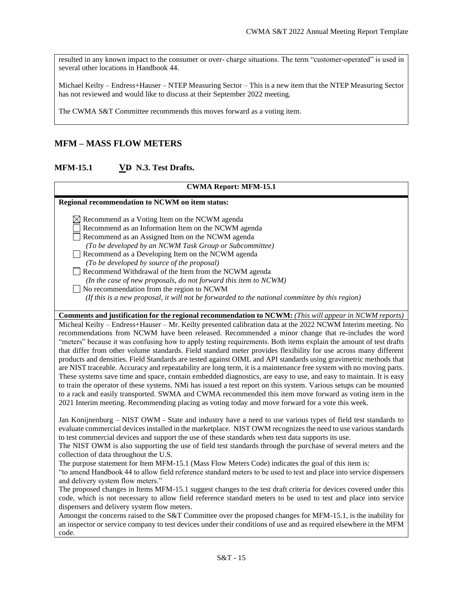resulted in any known impact to the consumer or over- charge situations. The term "customer-operated" is used in several other locations in Handbook 44.

Michael Keilty – Endress+Hauser – NTEP Measuring Sector – This is a new item that the NTEP Measuring Sector has not reviewed and would like to discuss at their September 2022 meeting.

The CWMA S&T Committee recommends this moves forward as a voting item.

# <span id="page-14-0"></span>**MFM – MASS FLOW METERS**

## <span id="page-14-1"></span>**MFM-15.1 VD N.3. Test Drafts.**

# **CWMA Report: MFM-15.1 Regional recommendation to NCWM on item status:**  $\boxtimes$  Recommend as a Voting Item on the NCWM agenda Recommend as an Information Item on the NCWM agenda Recommend as an Assigned Item on the NCWM agenda *(To be developed by an NCWM Task Group or Subcommittee)* Recommend as a Developing Item on the NCWM agenda *(To be developed by source of the proposal)*  Recommend Withdrawal of the Item from the NCWM agenda *(In the case of new proposals, do not forward this item to NCWM)* No recommendation from the region to NCWM  *(If this is a new proposal, it will not be forwarded to the national committee by this region)* **Comments and justification for the regional recommendation to NCWM:** *(This will appear in NCWM reports)* Micheal Keilty – Endress+Hauser – Mr. Keilty presented calibration data at the 2022 NCWM Interim meeting. No recommendations from NCWM have been released. Recommended a minor change that re-includes the word "meters" because it was confusing how to apply testing requirements. Both items explain the amount of test drafts that differ from other volume standards. Field standard meter provides flexibility for use across many different products and densities. Field Standards are tested against OIML and API standards using gravimetric methods that are NIST traceable. Accuracy and repeatability are long term, it is a maintenance free system with no moving parts. These systems save time and space, contain embedded diagnostics, are easy to use, and easy to maintain. It is easy to train the operator of these systems. NMi has issued a test report on this system. Various setups can be mounted to a rack and easily transported. SWMA and CWMA recommended this item move forward as voting item in the 2021 Interim meeting. Recommending placing as voting today and move forward for a vote this week. Jan Konijnenburg – NIST OWM - State and industry have a need to use various types of field test standards to evaluate commercial devices installed in the marketplace. NIST OWM recognizes the need to use various standards to test commercial devices and support the use of these standards when test data supports its use.

The NIST OWM is also supporting the use of field test standards through the purchase of several meters and the collection of data throughout the U.S.

The purpose statement for Item MFM-15.1 (Mass Flow Meters Code) indicates the goal of this item is:

"to amend Handbook 44 to allow field reference standard meters to be used to test and place into service dispensers and delivery system flow meters."

The proposed changes in Items MFM-15.1 suggest changes to the test draft criteria for devices covered under this code, which is not necessary to allow field reference standard meters to be used to test and place into service dispensers and delivery system flow meters.

Amongst the concerns raised to the S&T Committee over the proposed changes for MFM-15.1, is the inability for an inspector or service company to test devices under their conditions of use and as required elsewhere in the MFM code.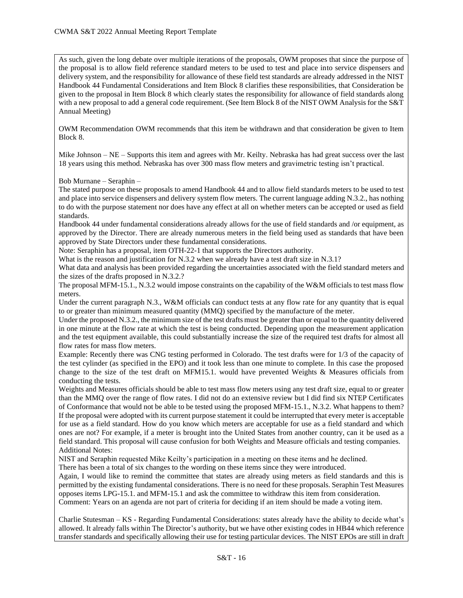As such, given the long debate over multiple iterations of the proposals, OWM proposes that since the purpose of the proposal is to allow field reference standard meters to be used to test and place into service dispensers and delivery system, and the responsibility for allowance of these field test standards are already addressed in the NIST Handbook 44 Fundamental Considerations and Item Block 8 clarifies these responsibilities, that Consideration be given to the proposal in Item Block 8 which clearly states the responsibility for allowance of field standards along with a new proposal to add a general code requirement. (See Item Block 8 of the NIST OWM Analysis for the S&T Annual Meeting)

OWM Recommendation OWM recommends that this item be withdrawn and that consideration be given to Item Block 8.

Mike Johnson – NE – Supports this item and agrees with Mr. Keilty. Nebraska has had great success over the last 18 years using this method. Nebraska has over 300 mass flow meters and gravimetric testing isn't practical.

Bob Murnane – Seraphin –

The stated purpose on these proposals to amend Handbook 44 and to allow field standards meters to be used to test and place into service dispensers and delivery system flow meters. The current language adding N.3.2., has nothing to do with the purpose statement nor does have any effect at all on whether meters can be accepted or used as field standards.

Handbook 44 under fundamental considerations already allows for the use of field standards and /or equipment, as approved by the Director. There are already numerous meters in the field being used as standards that have been approved by State Directors under these fundamental considerations.

Note: Seraphin has a proposal, item OTH-22-1 that supports the Directors authority.

What is the reason and justification for N.3.2 when we already have a test draft size in N.3.1?

What data and analysis has been provided regarding the uncertainties associated with the field standard meters and the sizes of the drafts proposed in N.3.2.?

The proposal MFM-15.1., N.3.2 would impose constraints on the capability of the W&M officials to test mass flow meters.

Under the current paragraph N.3., W&M officials can conduct tests at any flow rate for any quantity that is equal to or greater than minimum measured quantity (MMQ) specified by the manufacture of the meter.

Under the proposed N.3.2., the minimum size of the test drafts must be greater than or equal to the quantity delivered in one minute at the flow rate at which the test is being conducted. Depending upon the measurement application and the test equipment available, this could substantially increase the size of the required test drafts for almost all flow rates for mass flow meters.

Example: Recently there was CNG testing performed in Colorado. The test drafts were for 1/3 of the capacity of the test cylinder (as specified in the EPO) and it took less than one minute to complete. In this case the proposed change to the size of the test draft on MFM15.1. would have prevented Weights & Measures officials from conducting the tests.

Weights and Measures officials should be able to test mass flow meters using any test draft size, equal to or greater than the MMQ over the range of flow rates. I did not do an extensive review but I did find six NTEP Certificates of Conformance that would not be able to be tested using the proposed MFM-15.1., N.3.2. What happens to them? If the proposal were adopted with its current purpose statement it could be interrupted that every meter is acceptable for use as a field standard. How do you know which meters are acceptable for use as a field standard and which ones are not? For example, if a meter is brought into the United States from another country, can it be used as a field standard. This proposal will cause confusion for both Weights and Measure officials and testing companies. Additional Notes:

NIST and Seraphin requested Mike Keilty's participation in a meeting on these items and he declined. There has been a total of six changes to the wording on these items since they were introduced.

Again, I would like to remind the committee that states are already using meters as field standards and this is permitted by the existing fundamental considerations. There is no need for these proposals. Seraphin Test Measures opposes items LPG-15.1. and MFM-15.1 and ask the committee to withdraw this item from consideration.

Comment: Years on an agenda are not part of criteria for deciding if an item should be made a voting item.

Charlie Stutesman – KS - Regarding Fundamental Considerations: states already have the ability to decide what's allowed. It already falls within The Director's authority, but we have other existing codes in HB44 which reference transfer standards and specifically allowing their use for testing particular devices. The NIST EPOs are still in draft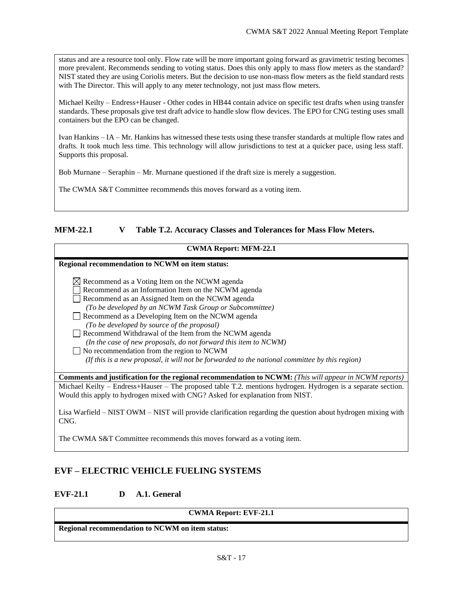status and are a resource tool only. Flow rate will be more important going forward as gravimetric testing becomes more prevalent. Recommends sending to voting status. Does this only apply to mass flow meters as the standard? NIST stated they are using Coriolis meters. But the decision to use non-mass flow meters as the field standard rests with The Director. This will apply to any meter technology, not just mass flow meters.

Michael Keilty – Endress+Hauser - Other codes in HB44 contain advice on specific test drafts when using transfer standards. These proposals give test draft advice to handle slow flow devices. The EPO for CNG testing uses small containers but the EPO can be changed.

Ivan Hankins – IA – Mr. Hankins has witnessed these tests using these transfer standards at multiple flow rates and drafts. It took much less time. This technology will allow jurisdictions to test at a quicker pace, using less staff. Supports this proposal.

Bob Murnane – Seraphin – Mr. Murnane questioned if the draft size is merely a suggestion.

The CWMA S&T Committee recommends this moves forward as a voting item.

## <span id="page-16-0"></span>**MFM-22.1 V Table T.2. Accuracy Classes and Tolerances for Mass Flow Meters.**

| <b>CWMA Report: MFM-22.1</b>                                                                                                                                                                                                                                                                                                                                                                                                                                                                                  |
|---------------------------------------------------------------------------------------------------------------------------------------------------------------------------------------------------------------------------------------------------------------------------------------------------------------------------------------------------------------------------------------------------------------------------------------------------------------------------------------------------------------|
| Regional recommendation to NCWM on item status:                                                                                                                                                                                                                                                                                                                                                                                                                                                               |
| $\boxtimes$ Recommend as a Voting Item on the NCWM agenda<br>Recommend as an Information Item on the NCWM agenda<br>Recommend as an Assigned Item on the NCWM agenda<br>(To be developed by an NCWM Task Group or Subcommittee)<br>Recommend as a Developing Item on the NCWM agenda<br>(To be developed by source of the proposal)<br>Recommend Withdrawal of the Item from the NCWM agenda<br>(In the case of new proposals, do not forward this item to NCWM)<br>No recommendation from the region to NCWM |
| (If this is a new proposal, it will not be forwarded to the national committee by this region)                                                                                                                                                                                                                                                                                                                                                                                                                |
| <b>Comments and justification for the regional recommendation to NCWM:</b> (This will appear in NCWM reports)                                                                                                                                                                                                                                                                                                                                                                                                 |
| Michael Keilty – Endress+Hauser – The proposed table T.2. mentions hydrogen. Hydrogen is a separate section.<br>Would this apply to hydrogen mixed with CNG? Asked for explanation from NIST.                                                                                                                                                                                                                                                                                                                 |

Lisa Warfield – NIST OWM – NIST will provide clarification regarding the question about hydrogen mixing with CNG.

The CWMA S&T Committee recommends this moves forward as a voting item.

# <span id="page-16-1"></span>**EVF – ELECTRIC VEHICLE FUELING SYSTEMS**

# <span id="page-16-2"></span>**EVF-21.1 D A.1. General**

#### **CWMA Report: EVF-21.1**

**Regional recommendation to NCWM on item status:**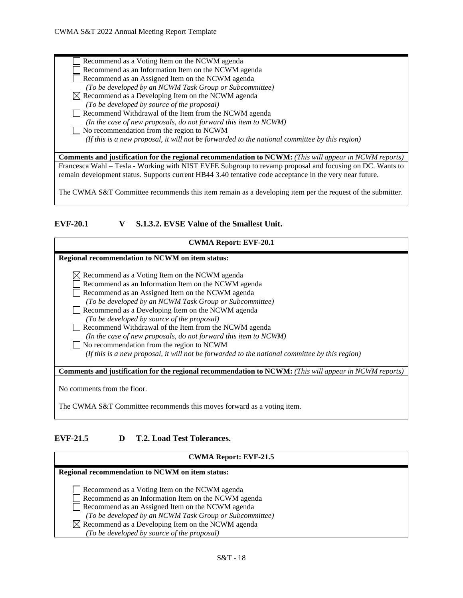| Recommend as a Voting Item on the NCWM agenda                                                                 |
|---------------------------------------------------------------------------------------------------------------|
| Recommend as an Information Item on the NCWM agenda                                                           |
| Recommend as an Assigned Item on the NCWM agenda                                                              |
| (To be developed by an NCWM Task Group or Subcommittee)                                                       |
| $\boxtimes$ Recommend as a Developing Item on the NCWM agenda                                                 |
| (To be developed by source of the proposal)                                                                   |
| Recommend Withdrawal of the Item from the NCWM agenda                                                         |
| (In the case of new proposals, do not forward this item to NCWM)                                              |
| No recommendation from the region to NCWM                                                                     |
| (If this is a new proposal, it will not be forwarded to the national committee by this region)                |
|                                                                                                               |
| <b>Comments and justification for the regional recommendation to NCWM:</b> (This will appear in NCWM reports) |
| Francesca Wahl – Tesla - Working with NIST EVFE Subgroup to revamp proposal and focusing on DC. Wants to      |
| remain development status. Supports current HB44 3.40 tentative code acceptance in the very near future.      |
|                                                                                                               |
| The CWMA S&T Committee recommends this item remain as a developing item per the request of the submitter.     |

# <span id="page-17-0"></span>**EVF-20.1 V S.1.3.2. EVSE Value of the Smallest Unit.**

| <b>CWMA Report: EVF-20.1</b>                                                                                  |
|---------------------------------------------------------------------------------------------------------------|
| Regional recommendation to NCWM on item status:                                                               |
| $\boxtimes$ Recommend as a Voting Item on the NCWM agenda                                                     |
| Recommend as an Information Item on the NCWM agenda                                                           |
| Recommend as an Assigned Item on the NCWM agenda                                                              |
| (To be developed by an NCWM Task Group or Subcommittee)                                                       |
| Recommend as a Developing Item on the NCWM agenda                                                             |
| (To be developed by source of the proposal)                                                                   |
| Recommend Withdrawal of the Item from the NCWM agenda                                                         |
| (In the case of new proposals, do not forward this item to NCWM)                                              |
| No recommendation from the region to NCWM                                                                     |
| (If this is a new proposal, it will not be forwarded to the national committee by this region)                |
|                                                                                                               |
| <b>Comments and justification for the regional recommendation to NCWM:</b> (This will appear in NCWM reports) |
|                                                                                                               |
| No comments from the floor.                                                                                   |

The CWMA S&T Committee recommends this moves forward as a voting item.

# <span id="page-17-1"></span>**EVF-21.5 D T.2. Load Test Tolerances.**

# **CWMA Report: EVF-21.5**

| Regional recommendation to NCWM on item status:               |  |
|---------------------------------------------------------------|--|
|                                                               |  |
| Recommend as a Voting Item on the NCWM agenda                 |  |
| Recommend as an Information Item on the NCWM agenda           |  |
| Recommend as an Assigned Item on the NCWM agenda              |  |
| (To be developed by an NCWM Task Group or Subcommittee)       |  |
| $\boxtimes$ Recommend as a Developing Item on the NCWM agenda |  |
| (To be developed by source of the proposal)                   |  |
|                                                               |  |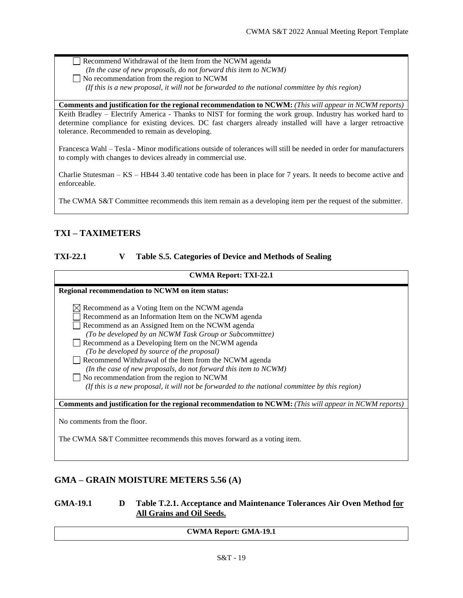Recommend Withdrawal of the Item from the NCWM agenda

- *(In the case of new proposals, do not forward this item to NCWM)*
- No recommendation from the region to NCWM

 *(If this is a new proposal, it will not be forwarded to the national committee by this region)*

**Comments and justification for the regional recommendation to NCWM:** *(This will appear in NCWM reports)* Keith Bradley – Electrify America - Thanks to NIST for forming the work group. Industry has worked hard to determine compliance for existing devices. DC fast chargers already installed will have a larger retroactive tolerance. Recommended to remain as developing.

Francesca Wahl – Tesla - Minor modifications outside of tolerances will still be needed in order for manufacturers to comply with changes to devices already in commercial use.

Charlie Stutesman – KS – HB44 3.40 tentative code has been in place for 7 years. It needs to become active and enforceable.

The CWMA S&T Committee recommends this item remain as a developing item per the request of the submitter.

# <span id="page-18-0"></span>**TXI – TAXIMETERS**

## <span id="page-18-1"></span>**TXI-22.1 V Table S.5. Categories of Device and Methods of Sealing**

|  |  | <b>CWMA Report: TXI-22.1</b> |
|--|--|------------------------------|
|--|--|------------------------------|

## **Regional recommendation to NCWM on item status:**

| $\boxtimes$ Recommend as a Voting Item on the NCWM agenda        |
|------------------------------------------------------------------|
| Recommend as an Information Item on the NCWM agenda              |
|                                                                  |
| Recommend as an Assigned Item on the NCWM agenda                 |
| (To be developed by an NCWM Task Group or Subcommittee)          |
| Recommend as a Developing Item on the NCWM agenda                |
| (To be developed by source of the proposal)                      |
| Recommend Withdrawal of the Item from the NCWM agenda            |
| (In the case of new proposals, do not forward this item to NCWM) |
| $\Box$ No recommendation from the region to NCWM                 |
|                                                                  |

 *(If this is a new proposal, it will not be forwarded to the national committee by this region)*

**Comments and justification for the regional recommendation to NCWM:** *(This will appear in NCWM reports)*

No comments from the floor.

The CWMA S&T Committee recommends this moves forward as a voting item.

# <span id="page-18-2"></span>**GMA – GRAIN MOISTURE METERS 5.56 (A)**

## <span id="page-18-3"></span>**GMA-19.1 D Table T.2.1. Acceptance and Maintenance Tolerances Air Oven Method for All Grains and Oil Seeds.**

### **CWMA Report: GMA-19.1**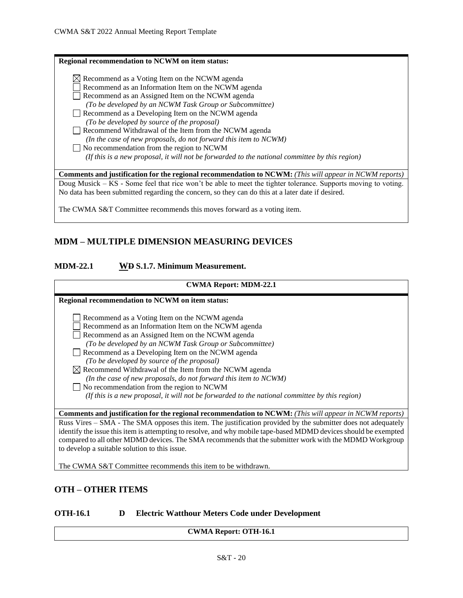| <b>Regional recommendation to NCWM on item status:</b>                                                                                                                                                              |
|---------------------------------------------------------------------------------------------------------------------------------------------------------------------------------------------------------------------|
| $\boxtimes$ Recommend as a Voting Item on the NCWM agenda<br>Recommend as an Information Item on the NCWM agenda<br>Recommend as an Assigned Item on the NCWM agenda                                                |
| (To be developed by an NCWM Task Group or Subcommittee)<br>Recommend as a Developing Item on the NCWM agenda<br>(To be developed by source of the proposal)                                                         |
| Recommend Withdrawal of the Item from the NCWM agenda<br>(In the case of new proposals, do not forward this item to NCWM)                                                                                           |
| $\Box$ No recommendation from the region to NCWM<br>(If this is a new proposal, it will not be forwarded to the national committee by this region)                                                                  |
| <b>Comments and justification for the regional recommendation to NCWM:</b> (This will appear in NCWM reports)                                                                                                       |
| Doug Musick – KS - Some feel that rice won't be able to meet the tighter tolerance. Supports moving to voting.<br>No data has been submitted regarding the concern, so they can do this at a later date if desired. |

The CWMA S&T Committee recommends this moves forward as a voting item.

# <span id="page-19-0"></span>**MDM – MULTIPLE DIMENSION MEASURING DEVICES**

## <span id="page-19-1"></span>**MDM-22.1 WD S.1.7. Minimum Measurement.**

| <b>CWMA Report: MDM-22.1</b>                                                                                                                                                                                                                                             |  |
|--------------------------------------------------------------------------------------------------------------------------------------------------------------------------------------------------------------------------------------------------------------------------|--|
| Regional recommendation to NCWM on item status:                                                                                                                                                                                                                          |  |
| Recommend as a Voting Item on the NCWM agenda<br>Recommend as an Information Item on the NCWM agenda<br>Recommend as an Assigned Item on the NCWM agenda<br>(To be developed by an NCWM Task Group or Subcommittee)<br>Recommend as a Developing Item on the NCWM agenda |  |
| (To be developed by source of the proposal)<br>$\boxtimes$ Recommend Withdrawal of the Item from the NCWM agenda<br>(In the case of new proposals, do not forward this item to NCWM)                                                                                     |  |
| No recommendation from the region to NCWM<br>(If this is a new proposal, it will not be forwarded to the national committee by this region)                                                                                                                              |  |
| <b>Comments and justification for the regional recommendation to NCWM:</b> (This will appear in NCWM reports)                                                                                                                                                            |  |
| Russ Vires – SMA - The SMA opposes this item. The justification provided by the submitter does not adequately<br>identify the issue this item is attempting to resolve, and why mobile tape-based MDMD devices should be exempted                                        |  |
| compared to all other MDMD devices. The SMA recommends that the submitter work with the MDMD Workgroup                                                                                                                                                                   |  |

<span id="page-19-2"></span>The CWMA S&T Committee recommends this item to be withdrawn.

# **OTH – OTHER ITEMS**

to develop a suitable solution to this issue.

## <span id="page-19-3"></span>**OTH-16.1 D Electric Watthour Meters Code under Development**

**CWMA Report: OTH-16.1**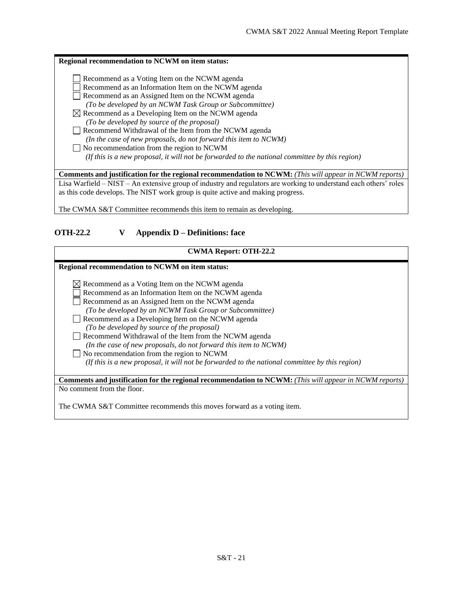| Regional recommendation to NCWM on item status:                                                                   |
|-------------------------------------------------------------------------------------------------------------------|
| Recommend as a Voting Item on the NCWM agenda                                                                     |
| Recommend as an Information Item on the NCWM agenda                                                               |
| Recommend as an Assigned Item on the NCWM agenda                                                                  |
| (To be developed by an NCWM Task Group or Subcommittee)                                                           |
| $\boxtimes$ Recommend as a Developing Item on the NCWM agenda                                                     |
| (To be developed by source of the proposal)                                                                       |
| Recommend Withdrawal of the Item from the NCWM agenda                                                             |
| (In the case of new proposals, do not forward this item to NCWM)                                                  |
| No recommendation from the region to NCWM                                                                         |
| (If this is a new proposal, it will not be forwarded to the national committee by this region)                    |
| <b>Comments and justification for the regional recommendation to NCWM:</b> (This will appear in NCWM reports)     |
| Lisa Warfield – NIST – An extensive group of industry and regulators are working to understand each others' roles |
| as this code develops. The NIST work group is quite active and making progress.                                   |
|                                                                                                                   |

<span id="page-20-0"></span>The CWMA S&T Committee recommends this item to remain as developing.

# **OTH-22.2 V Appendix D – Definitions: face**

| <b>CWMA Report: OTH-22.2</b>                                                                                  |
|---------------------------------------------------------------------------------------------------------------|
|                                                                                                               |
| Regional recommendation to NCWM on item status:                                                               |
|                                                                                                               |
| $\boxtimes$ Recommend as a Voting Item on the NCWM agenda                                                     |
| Recommend as an Information Item on the NCWM agenda                                                           |
| Recommend as an Assigned Item on the NCWM agenda                                                              |
| (To be developed by an NCWM Task Group or Subcommittee)                                                       |
| Recommend as a Developing Item on the NCWM agenda                                                             |
| (To be developed by source of the proposal)                                                                   |
| Recommend Withdrawal of the Item from the NCWM agenda                                                         |
| (In the case of new proposals, do not forward this item to NCWM)                                              |
| No recommendation from the region to NCWM                                                                     |
| (If this is a new proposal, it will not be forwarded to the national committee by this region)                |
|                                                                                                               |
| <b>Comments and justification for the regional recommendation to NCWM:</b> (This will appear in NCWM reports) |
| No comment from the floor.                                                                                    |
|                                                                                                               |
| The CWMA S&T Committee recommends this moves forward as a voting item.                                        |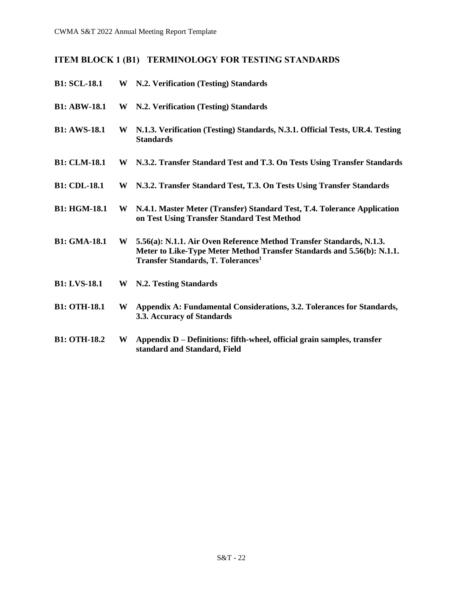# <span id="page-21-0"></span>**ITEM BLOCK 1 (B1) TERMINOLOGY FOR TESTING STANDARDS**

<span id="page-21-10"></span><span id="page-21-9"></span><span id="page-21-8"></span><span id="page-21-7"></span><span id="page-21-6"></span><span id="page-21-5"></span><span id="page-21-4"></span><span id="page-21-3"></span><span id="page-21-2"></span><span id="page-21-1"></span>

| <b>B1: SCL-18.1</b> |   | W N.2. Verification (Testing) Standards                                                                                                                                                                 |
|---------------------|---|---------------------------------------------------------------------------------------------------------------------------------------------------------------------------------------------------------|
| <b>B1: ABW-18.1</b> | W | N.2. Verification (Testing) Standards                                                                                                                                                                   |
| <b>B1: AWS-18.1</b> | W | N.1.3. Verification (Testing) Standards, N.3.1. Official Tests, UR.4. Testing<br><b>Standards</b>                                                                                                       |
| <b>B1: CLM-18.1</b> |   | W N.3.2. Transfer Standard Test and T.3. On Tests Using Transfer Standards                                                                                                                              |
| <b>B1: CDL-18.1</b> | W | N.3.2. Transfer Standard Test, T.3. On Tests Using Transfer Standards                                                                                                                                   |
| <b>B1: HGM-18.1</b> | W | N.4.1. Master Meter (Transfer) Standard Test, T.4. Tolerance Application<br>on Test Using Transfer Standard Test Method                                                                                 |
| <b>B1: GMA-18.1</b> | W | 5.56(a): N.1.1. Air Oven Reference Method Transfer Standards, N.1.3.<br>Meter to Like-Type Meter Method Transfer Standards and 5.56(b): N.1.1.<br><b>Transfer Standards, T. Tolerances</b> <sup>1</sup> |
| <b>B1: LVS-18.1</b> | W | N.2. Testing Standards                                                                                                                                                                                  |
| <b>B1: OTH-18.1</b> | W | Appendix A: Fundamental Considerations, 3.2. Tolerances for Standards,<br>3.3. Accuracy of Standards                                                                                                    |
| <b>B1: OTH-18.2</b> | W | Appendix D – Definitions: fifth-wheel, official grain samples, transfer<br>standard and Standard, Field                                                                                                 |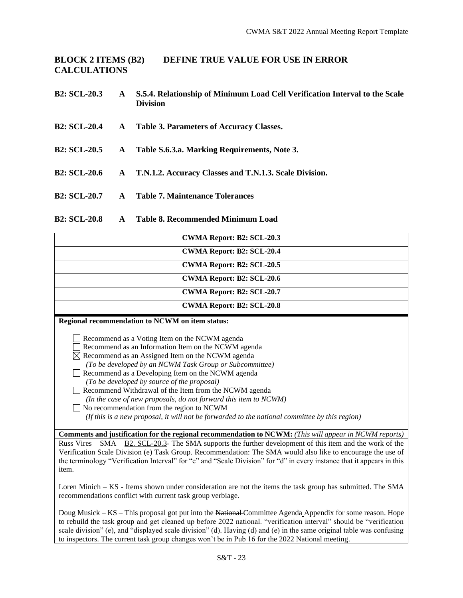<span id="page-22-0"></span>**BLOCK 2 ITEMS (B2) DEFINE TRUE VALUE FOR USE IN ERROR CALCULATIONS**

- <span id="page-22-1"></span>**B2: SCL-20.3 A S.5.4. Relationship of Minimum Load Cell Verification Interval to the Scale Division**
- <span id="page-22-2"></span>**B2: SCL-20.4 A Table 3. Parameters of Accuracy Classes.**
- <span id="page-22-3"></span>**B2: SCL-20.5 A Table S.6.3.a. Marking Requirements, Note 3.**
- <span id="page-22-4"></span>**B2: SCL-20.6 A T.N.1.2. Accuracy Classes and T.N.1.3. Scale Division.**
- <span id="page-22-5"></span>**B2: SCL-20.7 A Table 7. Maintenance Tolerances**

## <span id="page-22-6"></span>**B2: SCL-20.8 A Table 8. Recommended Minimum Load**

| CWMA Report: B2: SCL-20.3                                                                                                                                            |  |  |  |
|----------------------------------------------------------------------------------------------------------------------------------------------------------------------|--|--|--|
| <b>CWMA Report: B2: SCL-20.4</b>                                                                                                                                     |  |  |  |
| <b>CWMA Report: B2: SCL-20.5</b>                                                                                                                                     |  |  |  |
| <b>CWMA Report: B2: SCL-20.6</b>                                                                                                                                     |  |  |  |
| <b>CWMA Report: B2: SCL-20.7</b>                                                                                                                                     |  |  |  |
| <b>CWMA Report: B2: SCL-20.8</b>                                                                                                                                     |  |  |  |
| Regional recommendation to NCWM on item status:                                                                                                                      |  |  |  |
| Recommend as a Voting Item on the NCWM agenda<br>Recommend as an Information Item on the NCWM agenda<br>$\boxtimes$ Recommend as an Assigned Item on the NCWM agenda |  |  |  |
| (To be developed by an NCWM Task Group or Subcommittee)                                                                                                              |  |  |  |
| Recommend as a Developing Item on the NCWM agenda                                                                                                                    |  |  |  |
| (To be developed by source of the proposal)<br>Recommend Withdrawal of the Item from the NCWM agenda                                                                 |  |  |  |
| (In the case of new proposals, do not forward this item to NCWM)                                                                                                     |  |  |  |

No recommendation from the region to NCWM  *(If this is a new proposal, it will not be forwarded to the national committee by this region)*

**Comments and justification for the regional recommendation to NCWM:** *(This will appear in NCWM reports)* Russ Vires – SMA – B2. SCL-20.3- The SMA supports the further development of this item and the work of the Verification Scale Division (e) Task Group. Recommendation: The SMA would also like to encourage the use of the terminology "Verification Interval" for "e" and "Scale Division" for "d" in every instance that it appears in this item.

Loren Minich – KS - Items shown under consideration are not the items the task group has submitted. The SMA recommendations conflict with current task group verbiage.

Doug Musick – KS – This proposal got put into the National Committee Agenda Appendix for some reason. Hope to rebuild the task group and get cleaned up before 2022 national. "verification interval" should be "verification scale division" (e), and "displayed scale division" (d). Having (d) and (e) in the same original table was confusing to inspectors. The current task group changes won't be in Pub 16 for the 2022 National meeting.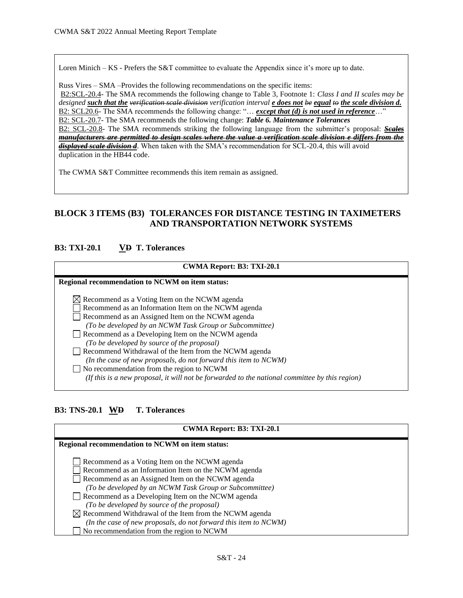Loren Minich – KS - Prefers the S&T committee to evaluate the Appendix since it's more up to date.

Russ Vires – SMA –Provides the following recommendations on the specific items: B2:SCL-20.4- The SMA recommends the following change to Table 3, Footnote 1: *Class I and II scales may be designed such that the verification scale division verification interval e does not be equal to the scale division d.* B2: SCL20.6- The SMA recommends the following change: "… *except that (d) is not used in reference*…" B2: SCL-20.7- The SMA recommends the following change: *Table 6. Maintenance Tolerances* B2: SCL-20.8- The SMA recommends striking the following language from the submitter's proposal: *Scales manufacturers are permitted to design scales where the value a verification scale division e differs from the displayed scale division d*. When taken with the SMA's recommendation for SCL-20.4, this will avoid duplication in the HB44 code.

The CWMA S&T Committee recommends this item remain as assigned.

# <span id="page-23-0"></span>**BLOCK 3 ITEMS (B3) TOLERANCES FOR DISTANCE TESTING IN TAXIMETERS AND TRANSPORTATION NETWORK SYSTEMS**

## <span id="page-23-1"></span>**B3: TXI-20.1 VD T. Tolerances**

# **CWMA Report: B3: TXI-20.1 Regional recommendation to NCWM on item status:**  $\boxtimes$  Recommend as a Voting Item on the NCWM agenda Recommend as an Information Item on the NCWM agenda Recommend as an Assigned Item on the NCWM agenda *(To be developed by an NCWM Task Group or Subcommittee)* Recommend as a Developing Item on the NCWM agenda *(To be developed by source of the proposal)*  Recommend Withdrawal of the Item from the NCWM agenda *(In the case of new proposals, do not forward this item to NCWM)* No recommendation from the region to NCWM  *(If this is a new proposal, it will not be forwarded to the national committee by this region)*

## <span id="page-23-2"></span>**B3: TNS-20.1 WD T. Tolerances**

| CWMA Report: B3: TXI-20.1                                                                                                                                                                                                                                                                                                                                                                                                                                        |  |
|------------------------------------------------------------------------------------------------------------------------------------------------------------------------------------------------------------------------------------------------------------------------------------------------------------------------------------------------------------------------------------------------------------------------------------------------------------------|--|
| Regional recommendation to NCWM on item status:                                                                                                                                                                                                                                                                                                                                                                                                                  |  |
| Recommend as a Voting Item on the NCWM agenda<br>Recommend as an Information Item on the NCWM agenda<br>Recommend as an Assigned Item on the NCWM agenda<br>(To be developed by an NCWM Task Group or Subcommittee)<br>Recommend as a Developing Item on the NCWM agenda<br>(To be developed by source of the proposal)<br>$\boxtimes$ Recommend Withdrawal of the Item from the NCWM agenda<br>(In the case of new proposals, do not forward this item to NCWM) |  |
| No recommendation from the region to NCWM                                                                                                                                                                                                                                                                                                                                                                                                                        |  |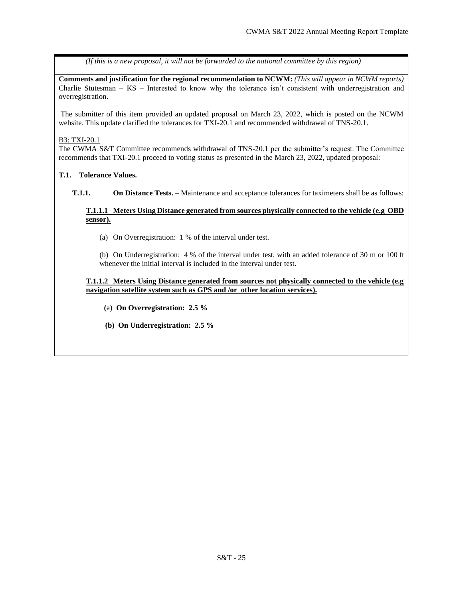*(If this is a new proposal, it will not be forwarded to the national committee by this region)*

**Comments and justification for the regional recommendation to NCWM:** *(This will appear in NCWM reports)* Charlie Stutesman –  $KS$  – Interested to know why the tolerance isn't consistent with underregistration and overregistration.

The submitter of this item provided an updated proposal on March 23, 2022, which is posted on the NCWM website. This update clarified the tolerances for TXI-20.1 and recommended withdrawal of TNS-20.1.

#### B3: TXI-20.1

The CWMA S&T Committee recommends withdrawal of TNS-20.1 per the submitter's request. The Committee recommends that TXI-20.1 proceed to voting status as presented in the March 23, 2022, updated proposal:

#### **T.1. Tolerance Values.**

**T.1.1. On Distance Tests.** – Maintenance and acceptance tolerances for taximeters shall be as follows:

#### **T.1.1.1 Meters Using Distance generated from sources physically connected to the vehicle (e.g OBD sensor).**

(a) On Overregistration: 1 % of the interval under test.

(b) On Underregistration: 4 % of the interval under test, with an added tolerance of 30 m or 100 ft whenever the initial interval is included in the interval under test.

#### **T.1.1.2 Meters Using Distance generated from sources not physically connected to the vehicle (e.g navigation satellite system such as GPS and /or other location services).**

- **(**a) **On Overregistration: 2.5 %**
- **(b) On Underregistration: 2.5 %**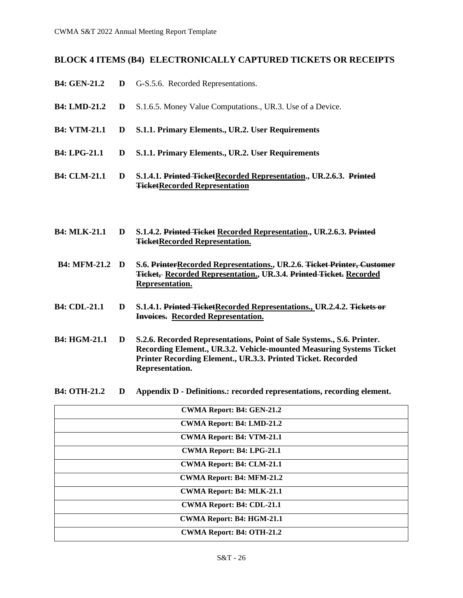## <span id="page-25-0"></span>**BLOCK 4 ITEMS (B4) ELECTRONICALLY CAPTURED TICKETS OR RECEIPTS**

- <span id="page-25-1"></span>**B4: GEN-21.2 D** G-S.5.6. Recorded Representations.
- <span id="page-25-2"></span>**B4: LMD-21.2 D** S.1.6.5. Money Value Computations., UR.3. Use of a Device.
- <span id="page-25-3"></span>**B4: VTM-21.1 D S.1.1. Primary Elements., UR.2. User Requirements**
- <span id="page-25-4"></span>**B4: LPG-21.1 D S.1.1. Primary Elements., UR.2. User Requirements**
- <span id="page-25-5"></span>**B4: CLM-21.1 D S.1.4.1. Printed TicketRecorded Representation., UR.2.6.3. Printed TicketRecorded Representation**
- <span id="page-25-6"></span>**B4: MLK-21.1 D S.1.4.2. Printed Ticket Recorded Representation., UR.2.6.3. Printed TicketRecorded Representation.**
- <span id="page-25-7"></span>**B4: MFM-21.2 D S.6. PrinterRecorded Representations., UR.2.6. Ticket Printer, Customer Ticket, Recorded Representation., UR.3.4. Printed Ticket. Recorded Representation.**
- <span id="page-25-8"></span>**B4: CDL-21.1 D S.1.4.1. Printed TicketRecorded Representations., UR.2.4.2. Tickets or Invoices. Recorded Representation.**
- <span id="page-25-9"></span>**B4: HGM-21.1 D S.2.6. Recorded Representations, Point of Sale Systems., S.6. Printer. Recording Element., UR.3.2. Vehicle-mounted Measuring Systems Ticket Printer Recording Element., UR.3.3. Printed Ticket. Recorded Representation.**
- <span id="page-25-10"></span>**B4: OTH-21.2 D Appendix D - Definitions.: recorded representations, recording element.**

| <b>CWMA Report: B4: GEN-21.2</b> |
|----------------------------------|
| <b>CWMA Report: B4: LMD-21.2</b> |
| <b>CWMA Report: B4: VTM-21.1</b> |
| CWMA Report: B4: LPG-21.1        |
| <b>CWMA Report: B4: CLM-21.1</b> |
| <b>CWMA Report: B4: MFM-21.2</b> |
| <b>CWMA Report: B4: MLK-21.1</b> |
| CWMA Report: B4: CDL-21.1        |
| CWMA Report: B4: HGM-21.1        |
| <b>CWMA Report: B4: OTH-21.2</b> |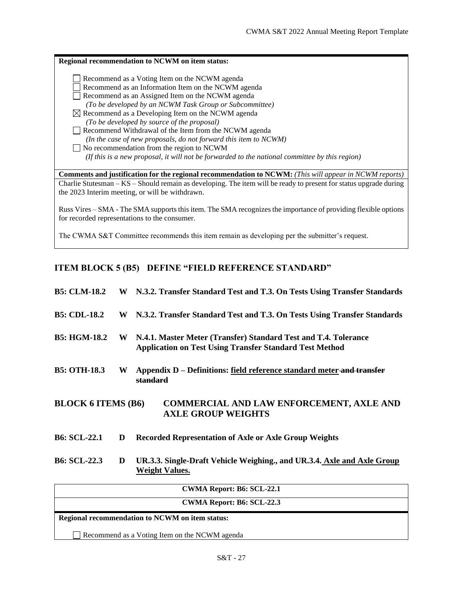| Regional recommendation to NCWM on item status:                                                                                                                                                                                                                                                                                                                                                                                                                                                                                                                                                                 |
|-----------------------------------------------------------------------------------------------------------------------------------------------------------------------------------------------------------------------------------------------------------------------------------------------------------------------------------------------------------------------------------------------------------------------------------------------------------------------------------------------------------------------------------------------------------------------------------------------------------------|
| Recommend as a Voting Item on the NCWM agenda<br>Recommend as an Information Item on the NCWM agenda<br>Recommend as an Assigned Item on the NCWM agenda<br>(To be developed by an NCWM Task Group or Subcommittee)<br>$\boxtimes$ Recommend as a Developing Item on the NCWM agenda<br>(To be developed by source of the proposal)<br>Recommend Withdrawal of the Item from the NCWM agenda<br>(In the case of new proposals, do not forward this item to NCWM)<br>No recommendation from the region to NCWM<br>(If this is a new proposal, it will not be forwarded to the national committee by this region) |
| <b>Comments and justification for the regional recommendation to NCWM:</b> (This will appear in NCWM reports)<br>Charlie Stutesman – KS – Should remain as developing. The item will be ready to present for status upgrade during<br>the 2023 Interim meeting, or will be withdrawn.                                                                                                                                                                                                                                                                                                                           |

Russ Vires – SMA - The SMA supports this item. The SMA recognizes the importance of providing flexible options for recorded representations to the consumer.

The CWMA S&T Committee recommends this item remain as developing per the submitter's request.

# <span id="page-26-0"></span>**ITEM BLOCK 5 (B5) DEFINE "FIELD REFERENCE STANDARD"**

<span id="page-26-4"></span><span id="page-26-3"></span><span id="page-26-2"></span><span id="page-26-1"></span>

| <b>B5: CLM-18.2</b>       |   | W N.3.2. Transfer Standard Test and T.3. On Tests Using Transfer Standards                                                        |
|---------------------------|---|-----------------------------------------------------------------------------------------------------------------------------------|
| <b>B5: CDL-18.2</b>       | W | N.3.2. Transfer Standard Test and T.3. On Tests Using Transfer Standards                                                          |
| <b>B5: HGM-18.2</b>       | W | N.4.1. Master Meter (Transfer) Standard Test and T.4. Tolerance<br><b>Application on Test Using Transfer Standard Test Method</b> |
| <b>B5: OTH-18.3</b>       | W | Appendix D - Definitions: field reference standard meter-and transfer<br>standard                                                 |
| <b>BLOCK 6 ITEMS (B6)</b> |   | <b>COMMERCIAL AND LAW ENFORCEMENT, AXLE AND</b><br><b>AXLE GROUP WEIGHTS</b>                                                      |
| <b>B6: SCL-22.1</b>       | D | <b>Recorded Representation of Axle or Axle Group Weights</b>                                                                      |
| <b>B6: SCL-22.3</b>       | D | UR.3.3. Single-Draft Vehicle Weighing., and UR.3.4. Axle and Axle Group<br><b>Weight Values.</b>                                  |
|                           |   | CWMA Donomic D6. CCL 22.1                                                                                                         |

<span id="page-26-7"></span><span id="page-26-6"></span><span id="page-26-5"></span>

| <b>CWMA Report: B6: SCL-22.1</b>                |
|-------------------------------------------------|
| <b>CWMA Report: B6: SCL-22.3</b>                |
| Regional recommendation to NCWM on item status: |
| Recommend as a Voting Item on the NCWM agenda   |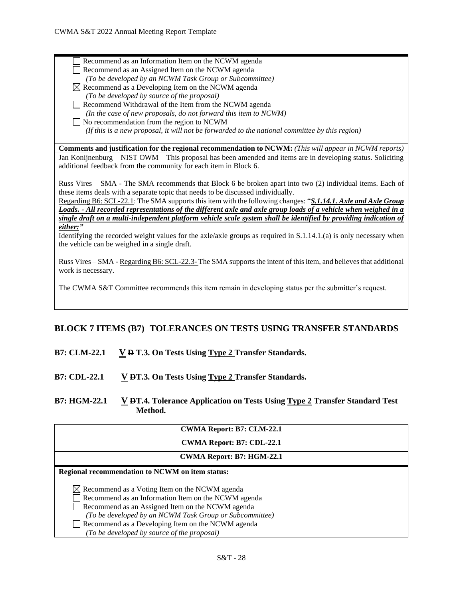| Recommend as an Information Item on the NCWM agenda                                                                                                                                                                                                                                                                                    |
|----------------------------------------------------------------------------------------------------------------------------------------------------------------------------------------------------------------------------------------------------------------------------------------------------------------------------------------|
| Recommend as an Assigned Item on the NCWM agenda                                                                                                                                                                                                                                                                                       |
| (To be developed by an NCWM Task Group or Subcommittee)                                                                                                                                                                                                                                                                                |
| $\boxtimes$ Recommend as a Developing Item on the NCWM agenda                                                                                                                                                                                                                                                                          |
| (To be developed by source of the proposal)                                                                                                                                                                                                                                                                                            |
| Recommend Withdrawal of the Item from the NCWM agenda                                                                                                                                                                                                                                                                                  |
| (In the case of new proposals, do not forward this item to NCWM)                                                                                                                                                                                                                                                                       |
| $\Box$ No recommendation from the region to NCWM                                                                                                                                                                                                                                                                                       |
| (If this is a new proposal, it will not be forwarded to the national committee by this region)                                                                                                                                                                                                                                         |
|                                                                                                                                                                                                                                                                                                                                        |
| <b>Comments and justification for the regional recommendation to NCWM:</b> (This will appear in NCWM reports)                                                                                                                                                                                                                          |
| Jan Konijnenburg – NIST OWM – This proposal has been amended and items are in developing status. Soliciting                                                                                                                                                                                                                            |
| additional feedback from the community for each item in Block 6.                                                                                                                                                                                                                                                                       |
|                                                                                                                                                                                                                                                                                                                                        |
| Russ Vires – SMA - The SMA recommends that Block 6 be broken apart into two (2) individual items. Each of                                                                                                                                                                                                                              |
| these items deals with a separate topic that needs to be discussed individually.                                                                                                                                                                                                                                                       |
| Regarding B6: SCL-22.1: The SMA supports this item with the following changes: "S.1.14.1. Axle and Axle Group                                                                                                                                                                                                                          |
| Loads. - All recorded representations of the different axle and axle group loads of a vehicle when weighed in a                                                                                                                                                                                                                        |
| single draft on a multi-independent platform vehicle scale system shall be identified by providing indication of                                                                                                                                                                                                                       |
| either:"                                                                                                                                                                                                                                                                                                                               |
| Identifying the recorded weight values for the axle/axle groups as required in $S.1.14.1(a)$ is only necessary when                                                                                                                                                                                                                    |
| the vehicle can be weighed in a single draft.                                                                                                                                                                                                                                                                                          |
|                                                                                                                                                                                                                                                                                                                                        |
| Russ Vires – SMA - Regarding B6: SCL-22.3-The SMA supports the intent of this item, and believes that additional                                                                                                                                                                                                                       |
| work is necessary.                                                                                                                                                                                                                                                                                                                     |
|                                                                                                                                                                                                                                                                                                                                        |
| $\mathbf{T}^{1}$ , $\mathbf{C}^{1}$ $\mathbf{C}^{1}$ $\mathbf{D}^{1}$ $\mathbf{T}^{2}$ $\mathbf{C}^{1}$ , $\mathbf{D}^{2}$ , $\mathbf{D}^{2}$ , $\mathbf{D}^{2}$ , $\mathbf{D}^{2}$ , $\mathbf{D}^{2}$ , $\mathbf{D}^{2}$ , $\mathbf{D}^{2}$ , $\mathbf{D}^{2}$ , $\mathbf{D}^{2}$ , $\mathbf{D}^{2}$ , $\mathbf{D}^{2}$ , $\mathbf{D$ |

The CWMA S&T Committee recommends this item remain in developing status per the submitter's request.

# <span id="page-27-0"></span>**BLOCK 7 ITEMS (B7) TOLERANCES ON TESTS USING TRANSFER STANDARDS**

## <span id="page-27-1"></span>**B7: CLM-22.1 V D T.3. On Tests Using Type 2 Transfer Standards.**

<span id="page-27-2"></span>**B7: CDL-22.1 V DT.3. On Tests Using Type 2 Transfer Standards.**

# <span id="page-27-3"></span>**B7: HGM-22.1 V DT.4. Tolerance Application on Tests Using Type 2 Transfer Standard Test Method.**

| <b>CWMA Report: B7: CLM-22.1</b>                          |
|-----------------------------------------------------------|
| <b>CWMA Report: B7: CDL-22.1</b>                          |
| CWMA Report: B7: HGM-22.1                                 |
| Regional recommendation to NCWM on item status:           |
| $\boxtimes$ Recommend as a Voting Item on the NCWM agenda |
| Recommend as an Information Item on the NCWM agenda       |
| Recommend as an Assigned Item on the NCWM agenda          |
| (To be developed by an NCWM Task Group or Subcommittee)   |
| Recommend as a Developing Item on the NCWM agenda         |
| (To be developed by source of the proposal)               |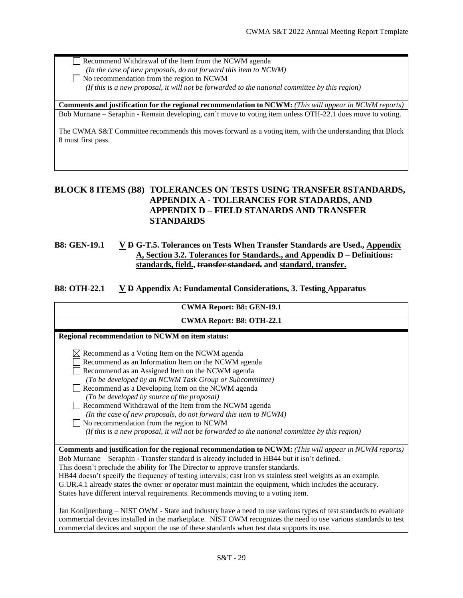Recommend Withdrawal of the Item from the NCWM agenda

- *(In the case of new proposals, do not forward this item to NCWM)*
- No recommendation from the region to NCWM

 *(If this is a new proposal, it will not be forwarded to the national committee by this region)*

**Comments and justification for the regional recommendation to NCWM:** *(This will appear in NCWM reports)* Bob Murnane – Seraphin - Remain developing, can't move to voting item unless OTH-22.1 does move to voting.

The CWMA S&T Committee recommends this moves forward as a voting item, with the understanding that Block 8 must first pass.

# <span id="page-28-0"></span>**BLOCK 8 ITEMS (B8) TOLERANCES ON TESTS USING TRANSFER 8STANDARDS, APPENDIX A - TOLERANCES FOR STADARDS, AND APPENDIX D – FIELD STANARDS AND TRANSFER STANDARDS**

## <span id="page-28-1"></span>**B8: GEN-19.1 V D G-T.5. Tolerances on Tests When Transfer Standards are Used., Appendix A, Section 3.2. Tolerances for Standards., and Appendix D – Definitions: standards, field., transfer standard. and standard, transfer.**

## <span id="page-28-2"></span>**B8: OTH-22.1 V D Appendix A: Fundamental Considerations, 3. Testing Apparatus**

| CWMA Report: B8: GEN-19.1                                                                                                                                                                                                                                                                                                                                                                                                                                                                        |
|--------------------------------------------------------------------------------------------------------------------------------------------------------------------------------------------------------------------------------------------------------------------------------------------------------------------------------------------------------------------------------------------------------------------------------------------------------------------------------------------------|
| <b>CWMA Report: B8: OTH-22.1</b>                                                                                                                                                                                                                                                                                                                                                                                                                                                                 |
| Regional recommendation to NCWM on item status:                                                                                                                                                                                                                                                                                                                                                                                                                                                  |
| $\boxtimes$ Recommend as a Voting Item on the NCWM agenda<br>Recommend as an Information Item on the NCWM agenda<br>Recommend as an Assigned Item on the NCWM agenda<br>(To be developed by an NCWM Task Group or Subcommittee)<br>Recommend as a Developing Item on the NCWM agenda<br>(To be developed by source of the proposal)                                                                                                                                                              |
| Recommend Withdrawal of the Item from the NCWM agenda<br>(In the case of new proposals, do not forward this item to NCWM)<br>No recommendation from the region to NCWM<br>(If this is a new proposal, it will not be forwarded to the national committee by this region)                                                                                                                                                                                                                         |
|                                                                                                                                                                                                                                                                                                                                                                                                                                                                                                  |
| <b>Comments and justification for the regional recommendation to NCWM:</b> (This will appear in NCWM reports)                                                                                                                                                                                                                                                                                                                                                                                    |
| Bob Murnane – Seraphin - Transfer standard is already included in HB44 but it isn't defined.<br>This doesn't preclude the ability for The Director to approve transfer standards.<br>HB44 doesn't specify the frequency of testing intervals; cast iron vs stainless steel weights as an example.<br>G.UR.4.1 already states the owner or operator must maintain the equipment, which includes the accuracy.<br>States have different interval requirements. Recommends moving to a voting item. |
| Jan Konijnenburg - NIST OWM - State and industry have a need to use various types of test standards to evaluate<br>commercial devices installed in the marketplace. NIST OWM recognizes the need to use various standards to test<br>commercial devices and support the use of these standards when test data supports its use.                                                                                                                                                                  |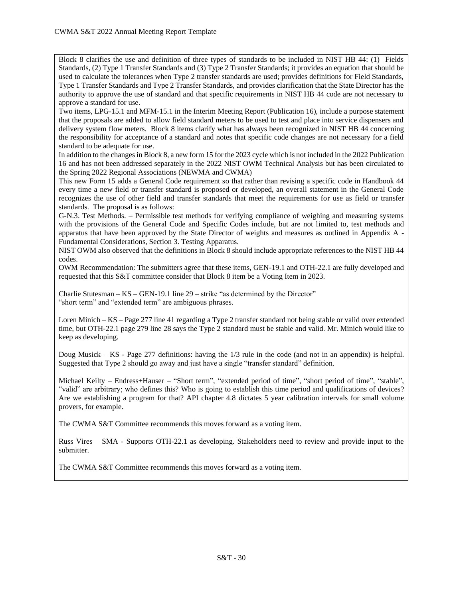Block 8 clarifies the use and definition of three types of standards to be included in NIST HB 44: (1) Fields Standards, (2) Type 1 Transfer Standards and (3) Type 2 Transfer Standards; it provides an equation that should be used to calculate the tolerances when Type 2 transfer standards are used; provides definitions for Field Standards, Type 1 Transfer Standards and Type 2 Transfer Standards, and provides clarification that the State Director has the authority to approve the use of standard and that specific requirements in NIST HB 44 code are not necessary to approve a standard for use.

Two items, LPG-15.1 and MFM-15.1 in the Interim Meeting Report (Publication 16), include a purpose statement that the proposals are added to allow field standard meters to be used to test and place into service dispensers and delivery system flow meters. Block 8 items clarify what has always been recognized in NIST HB 44 concerning the responsibility for acceptance of a standard and notes that specific code changes are not necessary for a field standard to be adequate for use.

In addition to the changes in Block 8, a new form 15 for the 2023 cycle which is not included in the 2022 Publication 16 and has not been addressed separately in the 2022 NIST OWM Technical Analysis but has been circulated to the Spring 2022 Regional Associations (NEWMA and CWMA)

This new Form 15 adds a General Code requirement so that rather than revising a specific code in Handbook 44 every time a new field or transfer standard is proposed or developed, an overall statement in the General Code recognizes the use of other field and transfer standards that meet the requirements for use as field or transfer standards. The proposal is as follows:

G-N.3. Test Methods. – Permissible test methods for verifying compliance of weighing and measuring systems with the provisions of the General Code and Specific Codes include, but are not limited to, test methods and apparatus that have been approved by the State Director of weights and measures as outlined in Appendix A - Fundamental Considerations, Section 3. Testing Apparatus.

NIST OWM also observed that the definitions in Block 8 should include appropriate references to the NIST HB 44 codes.

OWM Recommendation: The submitters agree that these items, GEN-19.1 and OTH-22.1 are fully developed and requested that this S&T committee consider that Block 8 item be a Voting Item in 2023.

Charlie Stutesman – KS – GEN-19.1 line 29 – strike "as determined by the Director" "short term" and "extended term" are ambiguous phrases.

Loren Minich – KS – Page 277 line 41 regarding a Type 2 transfer standard not being stable or valid over extended time, but OTH-22.1 page 279 line 28 says the Type 2 standard must be stable and valid. Mr. Minich would like to keep as developing.

Doug Musick – KS - Page 277 definitions: having the 1/3 rule in the code (and not in an appendix) is helpful. Suggested that Type 2 should go away and just have a single "transfer standard" definition.

Michael Keilty – Endress+Hauser – "Short term", "extended period of time", "short period of time", "stable", "valid" are arbitrary; who defines this? Who is going to establish this time period and qualifications of devices? Are we establishing a program for that? API chapter 4.8 dictates 5 year calibration intervals for small volume provers, for example.

The CWMA S&T Committee recommends this moves forward as a voting item.

Russ Vires – SMA - Supports OTH-22.1 as developing. Stakeholders need to review and provide input to the submitter.

The CWMA S&T Committee recommends this moves forward as a voting item.